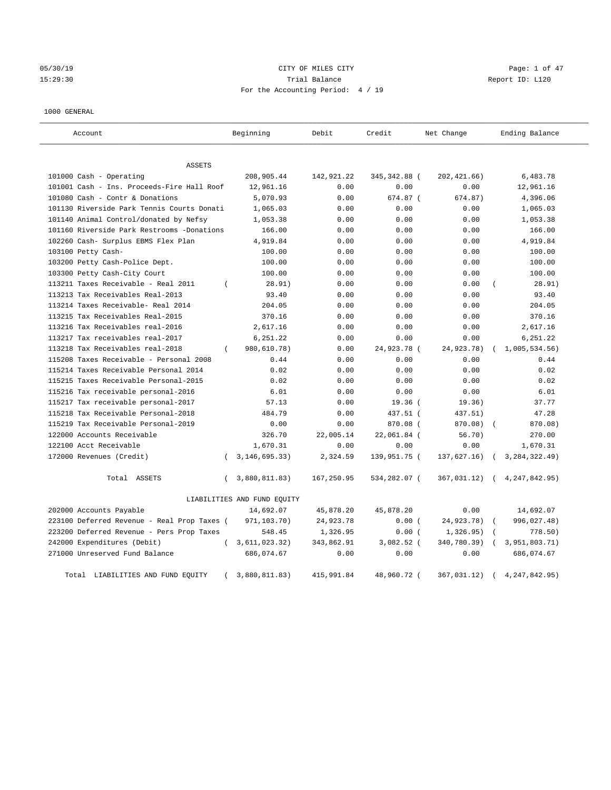05/30/19 CITY OF MILES CITY Page: 1 of 47 15:29:30 Trial Balance Report ID: L120 For the Accounting Period: 4 / 19

## 1000 GENERAL

| Account                                     |          | Beginning                   | Debit      | Credit        | Net Change   | Ending Balance   |
|---------------------------------------------|----------|-----------------------------|------------|---------------|--------------|------------------|
| <b>ASSETS</b>                               |          |                             |            |               |              |                  |
| 101000 Cash - Operating                     |          | 208,905.44                  | 142,921.22 | 345, 342.88 ( | 202, 421.66) | 6,483.78         |
| 101001 Cash - Ins. Proceeds-Fire Hall Roof  |          | 12,961.16                   | 0.00       | 0.00          | 0.00         | 12,961.16        |
| 101080 Cash - Contr & Donations             |          | 5,070.93                    | 0.00       | 674.87 (      | 674.87)      | 4,396.06         |
| 101130 Riverside Park Tennis Courts Donati  |          | 1,065.03                    | 0.00       | 0.00          | 0.00         | 1,065.03         |
| 101140 Animal Control/donated by Nefsy      |          | 1,053.38                    | 0.00       | 0.00          | 0.00         | 1,053.38         |
| 101160 Riverside Park Restrooms -Donations  |          | 166.00                      | 0.00       | 0.00          | 0.00         | 166.00           |
| 102260 Cash- Surplus EBMS Flex Plan         |          | 4,919.84                    | 0.00       | 0.00          | 0.00         | 4,919.84         |
| 103100 Petty Cash-                          |          | 100.00                      | 0.00       | 0.00          | 0.00         | 100.00           |
| 103200 Petty Cash-Police Dept.              |          | 100.00                      | 0.00       | 0.00          | 0.00         | 100.00           |
| 103300 Petty Cash-City Court                |          | 100.00                      | 0.00       | 0.00          | 0.00         | 100.00           |
| 113211 Taxes Receivable - Real 2011         | $\left($ | 28.91)                      | 0.00       | 0.00          | 0.00         | 28.91)           |
| 113213 Tax Receivables Real-2013            |          | 93.40                       | 0.00       | 0.00          | 0.00         | 93.40            |
| 113214 Taxes Receivable- Real 2014          |          | 204.05                      | 0.00       | 0.00          | 0.00         | 204.05           |
| 113215 Tax Receivables Real-2015            |          | 370.16                      | 0.00       | 0.00          | 0.00         | 370.16           |
| 113216 Tax Receivables real-2016            |          | 2,617.16                    | 0.00       | 0.00          | 0.00         | 2,617.16         |
| 113217 Tax receivables real-2017            |          | 6,251.22                    | 0.00       | 0.00          | 0.00         | 6,251.22         |
| 113218 Tax Receivables real-2018            |          | 980,610.78)                 | 0.00       | 24,923.78 (   | 24,923.78)   | 1,005,534.56     |
| 115208 Taxes Receivable - Personal 2008     |          | 0.44                        | 0.00       | 0.00          | 0.00         | 0.44             |
| 115214 Taxes Receivable Personal 2014       |          | 0.02                        | 0.00       | 0.00          | 0.00         | 0.02             |
| 115215 Taxes Receivable Personal-2015       |          | 0.02                        | 0.00       | 0.00          | 0.00         | 0.02             |
| 115216 Tax receivable personal-2016         |          | 6.01                        | 0.00       | 0.00          | 0.00         | 6.01             |
| 115217 Tax receivable personal-2017         |          | 57.13                       | 0.00       | $19.36$ (     | 19.36)       | 37.77            |
| 115218 Tax Receivable Personal-2018         |          | 484.79                      | 0.00       | 437.51 (      | 437.51)      | 47.28            |
| 115219 Tax Receivable Personal-2019         |          | 0.00                        | 0.00       | 870.08 (      | 870.08)      | 870.08)          |
| 122000 Accounts Receivable                  |          | 326.70                      | 22,005.14  | 22,061.84 (   | 56.70)       | 270.00           |
| 122100 Acct Receivable                      |          | 1,670.31                    | 0.00       | 0.00          | 0.00         | 1,670.31         |
| 172000 Revenues (Credit)                    | $\left($ | 3, 146, 695. 33)            | 2,324.59   | 139,951.75 (  | 137,627.16)  | 3, 284, 322.49)  |
| Total ASSETS                                | $\left($ | 3,880,811.83)               | 167,250.95 | 534,282.07 (  | 367,031.12)  | 4, 247, 842, 95) |
|                                             |          | LIABILITIES AND FUND EQUITY |            |               |              |                  |
| 202000 Accounts Payable                     |          | 14,692.07                   | 45,878.20  | 45,878.20     | 0.00         | 14,692.07        |
| 223100 Deferred Revenue - Real Prop Taxes ( |          | 971,103.70)                 | 24,923.78  | 0.00(         | 24,923.78)   | 996,027.48)      |
| 223200 Deferred Revenue - Pers Prop Taxes   |          | 548.45                      | 1,326.95   | 0.00(         | 1,326.95)    | 778.50)          |
| 242000 Expenditures (Debit)                 | $\left($ | 3,611,023.32)               | 343,862.91 | $3,082.52$ (  | 340,780.39)  | 3,951,803.71)    |
| 271000 Unreserved Fund Balance              |          | 686,074.67                  | 0.00       | 0.00          | 0.00         | 686,074.67       |
| Total LIABILITIES AND FUND EQUITY           |          | 3,880,811.83)               | 415,991.84 | 48,960.72 (   | 367,031.12)  | 4, 247, 842.95)  |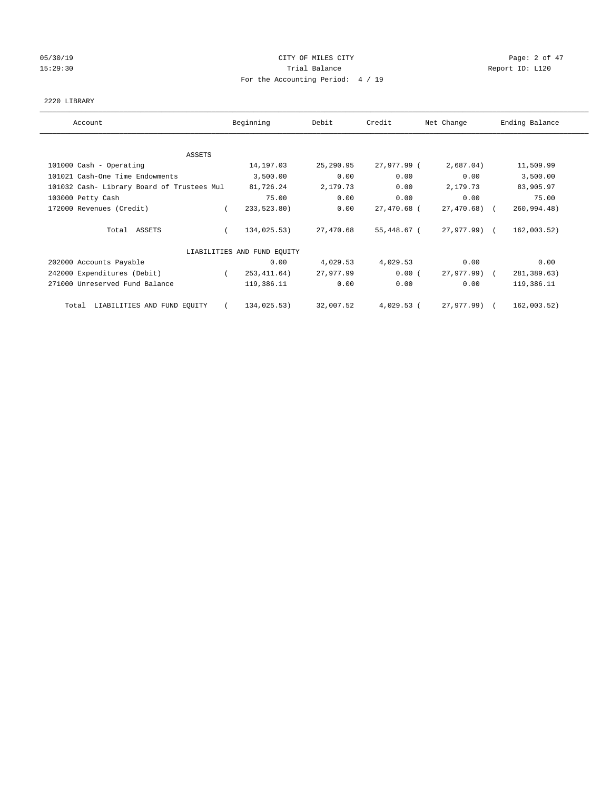# 05/30/19 Page: 2 of 47 15:29:30 Report ID: L120 For the Accounting Period: 4 / 19

## 2220 LIBRARY

| Account                                    | Beginning                   | Debit     | Credit       | Net Change      | Ending Balance |
|--------------------------------------------|-----------------------------|-----------|--------------|-----------------|----------------|
| ASSETS                                     |                             |           |              |                 |                |
| 101000 Cash - Operating                    | 14,197.03                   | 25,290.95 | 27,977.99 (  | 2,687.04)       | 11,509.99      |
| 101021 Cash-One Time Endowments            | 3,500.00                    | 0.00      | 0.00         | 0.00            | 3,500.00       |
| 101032 Cash- Library Board of Trustees Mul | 81,726.24                   | 2,179.73  | 0.00         | 2,179.73        | 83,905.97      |
| 103000 Petty Cash                          | 75.00                       | 0.00      | 0.00         | 0.00            | 75.00          |
| 172000 Revenues (Credit)                   | 233,523.80)                 | 0.00      | 27,470.68 (  | $27,470.68$ (   | 260,994.48)    |
| Total ASSETS                               | 134,025.53)                 | 27,470.68 | 55,448.67 (  | 27,977.99) (    | 162,003.52)    |
|                                            | LIABILITIES AND FUND EQUITY |           |              |                 |                |
| 202000 Accounts Payable                    | 0.00                        | 4,029.53  | 4,029.53     | 0.00            | 0.00           |
| 242000 Expenditures (Debit)                | 253, 411.64)                | 27,977.99 | 0.00(        | $27,977,99$ ) ( | 281,389.63)    |
| 271000 Unreserved Fund Balance             | 119,386.11                  | 0.00      | 0.00         | 0.00            | 119,386.11     |
| LIABILITIES AND FUND EQUITY<br>Total       | 134,025.53)                 | 32,007.52 | $4,029.53$ ( | 27,977.99)      | 162,003.52)    |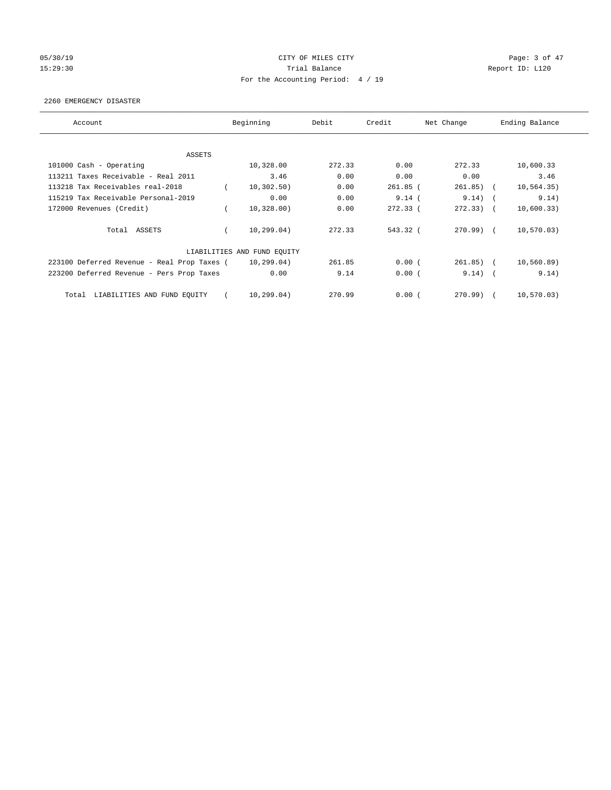# 05/30/19 CITY OF MILES CITY Page: 3 of 47 15:29:30 Report ID: L120 For the Accounting Period: 4 / 19

## 2260 EMERGENCY DISASTER

| Account                                     | Beginning                   | Debit  | Credit     | Net Change   | Ending Balance |
|---------------------------------------------|-----------------------------|--------|------------|--------------|----------------|
| ASSETS                                      |                             |        |            |              |                |
| 101000 Cash - Operating                     | 10,328.00                   | 272.33 | 0.00       | 272.33       | 10,600.33      |
| 113211 Taxes Receivable - Real 2011         | 3.46                        | 0.00   | 0.00       | 0.00         | 3.46           |
| 113218 Tax Receivables real-2018            | 10, 302, 50)                | 0.00   | $261.85$ ( | $261.85)$ (  | 10, 564.35)    |
| 115219 Tax Receivable Personal-2019         | 0.00                        | 0.00   | 9.14(      | 9.14)        | 9.14)          |
| 172000 Revenues (Credit)                    | 10,328.00)                  | 0.00   | $272.33$ ( | $272.33)$ (  | 10,600.33)     |
| Total ASSETS                                | 10, 299.04)                 | 272.33 | 543.32 (   | 270.99) (    | 10,570.03)     |
|                                             | LIABILITIES AND FUND EQUITY |        |            |              |                |
| 223100 Deferred Revenue - Real Prop Taxes ( | 10, 299.04)                 | 261.85 | 0.00(      | $261.85$ ) ( | 10, 560.89)    |
| 223200 Deferred Revenue - Pers Prop Taxes   | 0.00                        | 9.14   | 0.00(      | $9.14)$ (    | 9.14)          |
| LIABILITIES AND FUND EQUITY<br>Total        | 10, 299.04)                 | 270.99 | 0.00(      | 270.99) (    | 10, 570.03)    |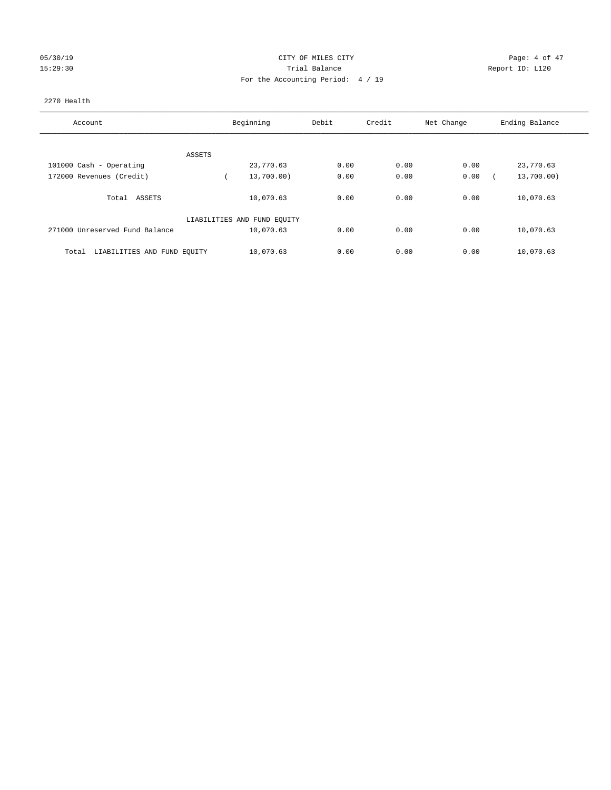## 05/30/19 CITY OF MILES CITY Page: 4 of 47 15:29:30 Trial Balance Report ID: L120 For the Accounting Period: 4 / 19

## 2270 Health

| Account                              | Beginning                   | Debit | Credit | Net Change | Ending Balance |  |
|--------------------------------------|-----------------------------|-------|--------|------------|----------------|--|
|                                      |                             |       |        |            |                |  |
| ASSETS                               |                             |       |        |            |                |  |
| 101000 Cash - Operating              | 23,770.63                   | 0.00  | 0.00   | 0.00       | 23,770.63      |  |
| 172000 Revenues (Credit)             | 13,700.00)                  | 0.00  | 0.00   | 0.00       | 13,700.00)     |  |
| ASSETS<br>Total                      | 10,070.63                   | 0.00  | 0.00   | 0.00       | 10,070.63      |  |
|                                      | LIABILITIES AND FUND EQUITY |       |        |            |                |  |
| 271000 Unreserved Fund Balance       | 10,070.63                   | 0.00  | 0.00   | 0.00       | 10,070.63      |  |
| LIABILITIES AND FUND EQUITY<br>Total | 10,070.63                   | 0.00  | 0.00   | 0.00       | 10,070.63      |  |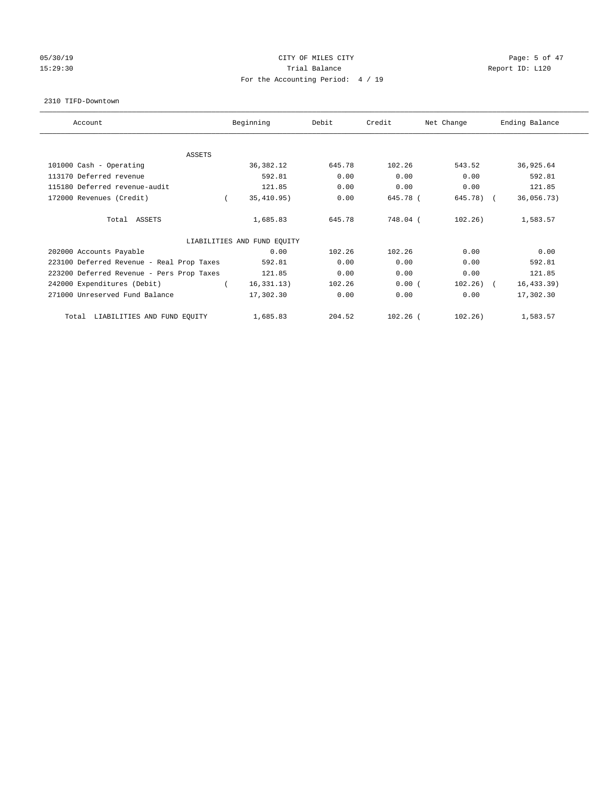## 05/30/19 CITY OF MILES CITY Page: 5 of 47 15:29:30 Report ID: L120 For the Accounting Period: 4 / 19

#### 2310 TIFD-Downtown

| Account                                   | Beginning                   | Debit  | Credit     | Net Change  | Ending Balance |
|-------------------------------------------|-----------------------------|--------|------------|-------------|----------------|
| <b>ASSETS</b>                             |                             |        |            |             |                |
| 101000 Cash - Operating                   | 36, 382. 12                 | 645.78 | 102.26     | 543.52      | 36,925.64      |
| 113170 Deferred revenue                   | 592.81                      | 0.00   | 0.00       | 0.00        | 592.81         |
| 115180 Deferred revenue-audit             | 121.85                      | 0.00   | 0.00       | 0.00        | 121.85         |
| 172000 Revenues (Credit)                  | 35,410.95)                  | 0.00   | 645.78 (   | 645.78) (   | 36,056.73)     |
| Total ASSETS                              | 1,685.83                    | 645.78 | 748.04 (   | 102.26)     | 1,583.57       |
|                                           | LIABILITIES AND FUND EQUITY |        |            |             |                |
| 202000 Accounts Payable                   | 0.00                        | 102.26 | 102.26     | 0.00        | 0.00           |
| 223100 Deferred Revenue - Real Prop Taxes | 592.81                      | 0.00   | 0.00       | 0.00        | 592.81         |
| 223200 Deferred Revenue - Pers Prop Taxes | 121.85                      | 0.00   | 0.00       | 0.00        | 121.85         |
| 242000 Expenditures (Debit)               | 16, 331, 13)                | 102.26 | 0.00(      | $102.26)$ ( | 16, 433.39)    |
| 271000 Unreserved Fund Balance            | 17,302.30                   | 0.00   | 0.00       | 0.00        | 17,302.30      |
| LIABILITIES AND FUND EQUITY<br>Total      | 1,685.83                    | 204.52 | $102.26$ ( | 102.26)     | 1,583.57       |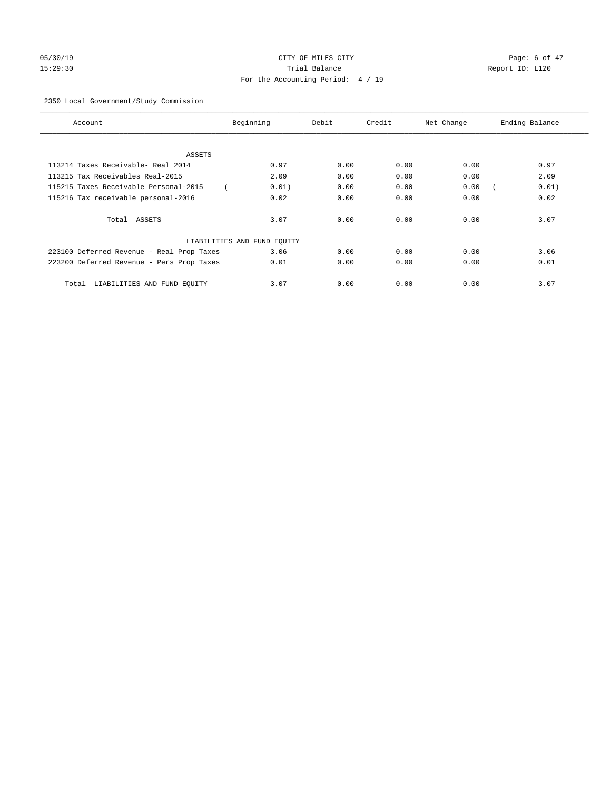# 05/30/19 Page: 6 of 47 15:29:30 Trial Balance Report ID: L120 For the Accounting Period: 4 / 19

## 2350 Local Government/Study Commission

| Account                                   | Beginning                   | Debit | Credit | Net Change | Ending Balance |
|-------------------------------------------|-----------------------------|-------|--------|------------|----------------|
|                                           |                             |       |        |            |                |
| ASSETS                                    |                             |       |        |            |                |
| 113214 Taxes Receivable- Real 2014        | 0.97                        | 0.00  | 0.00   | 0.00       | 0.97           |
| 113215 Tax Receivables Real-2015          | 2.09                        | 0.00  | 0.00   | 0.00       | 2.09           |
| 115215 Taxes Receivable Personal-2015     | 0.01)                       | 0.00  | 0.00   | 0.00       | 0.01)          |
| 115216 Tax receivable personal-2016       | 0.02                        | 0.00  | 0.00   | 0.00       | 0.02           |
| Total ASSETS                              | 3.07                        | 0.00  | 0.00   | 0.00       | 3.07           |
|                                           | LIABILITIES AND FUND EQUITY |       |        |            |                |
| 223100 Deferred Revenue - Real Prop Taxes | 3.06                        | 0.00  | 0.00   | 0.00       | 3.06           |
| 223200 Deferred Revenue - Pers Prop Taxes | 0.01                        | 0.00  | 0.00   | 0.00       | 0.01           |
| LIABILITIES AND FUND EQUITY<br>Total      | 3.07                        | 0.00  | 0.00   | 0.00       | 3.07           |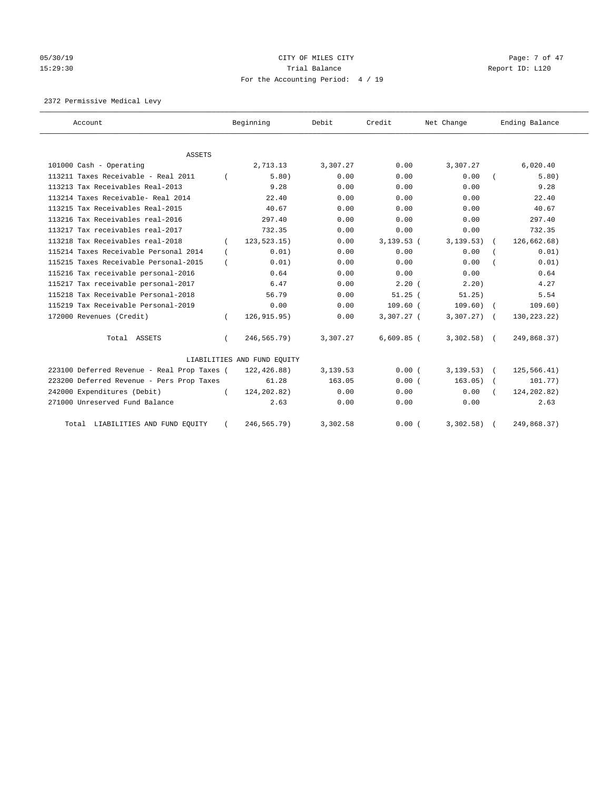# 05/30/19 Page: 7 of 47 15:29:30 Report ID: L120 For the Accounting Period: 4 / 19

2372 Permissive Medical Levy

| Account                                                        |          | Beginning                   | Debit            | Credit       | Net Change       | Ending Balance    |
|----------------------------------------------------------------|----------|-----------------------------|------------------|--------------|------------------|-------------------|
|                                                                |          |                             |                  |              |                  |                   |
| ASSETS                                                         |          |                             |                  | 0.00         |                  |                   |
| 101000 Cash - Operating<br>113211 Taxes Receivable - Real 2011 |          | 2,713.13<br>5.80)           | 3,307.27<br>0.00 | 0.00         | 3,307.27<br>0.00 | 6,020.40<br>5.80) |
| 113213 Tax Receivables Real-2013                               |          | 9.28                        | 0.00             | 0.00         | 0.00             | 9.28              |
| 113214 Taxes Receivable- Real 2014                             |          | 22.40                       | 0.00             | 0.00         |                  | 22.40             |
|                                                                |          |                             |                  |              | 0.00             |                   |
| 113215 Tax Receivables Real-2015                               |          | 40.67                       | 0.00             | 0.00         | 0.00             | 40.67             |
| 113216 Tax Receivables real-2016                               |          | 297.40                      | 0.00             | 0.00         | 0.00             | 297.40            |
| 113217 Tax receivables real-2017                               |          | 732.35                      | 0.00             | 0.00         | 0.00             | 732.35            |
| 113218 Tax Receivables real-2018                               |          | 123, 523.15)                | 0.00             | $3,139.53$ ( | 3, 139.53)       | 126,662.68)       |
| 115214 Taxes Receivable Personal 2014                          | $\left($ | 0.01)                       | 0.00             | 0.00         | 0.00             | 0.01)             |
| 115215 Taxes Receivable Personal-2015                          |          | 0.01)                       | 0.00             | 0.00         | 0.00             | 0.01)             |
| 115216 Tax receivable personal-2016                            |          | 0.64                        | 0.00             | 0.00         | 0.00             | 0.64              |
| 115217 Tax receivable personal-2017                            |          | 6.47                        | 0.00             | 2.20(        | 2.20)            | 4.27              |
| 115218 Tax Receivable Personal-2018                            |          | 56.79                       | 0.00             | $51.25$ (    | 51.25)           | 5.54              |
| 115219 Tax Receivable Personal-2019                            |          | 0.00                        | 0.00             | $109.60$ (   | 109.60)          | 109.60)           |
| 172000 Revenues (Credit)                                       | $\left($ | 126, 915.95)                | 0.00             | 3,307.27 (   | 3,307.27)        | 130, 223. 22)     |
| Total ASSETS                                                   |          | 246,565.79)                 | 3,307.27         | $6,609.85$ ( | $3,302.58$ (     | 249,868.37)       |
|                                                                |          | LIABILITIES AND FUND EQUITY |                  |              |                  |                   |
| 223100 Deferred Revenue - Real Prop Taxes (                    |          | 122,426.88)                 | 3,139.53         | 0.00(        | $3, 139.53$ (    | 125,566.41)       |
| 223200 Deferred Revenue - Pers Prop Taxes                      |          | 61.28                       | 163.05           | 0.00(        | 163.05)          | 101.77)           |
| 242000 Expenditures (Debit)                                    |          | 124, 202.82)                | 0.00             | 0.00         | 0.00             | 124,202.82)       |
| 271000 Unreserved Fund Balance                                 |          | 2.63                        | 0.00             | 0.00         | 0.00             | 2.63              |
| Total LIABILITIES AND FUND EQUITY                              |          | 246,565.79)                 | 3,302.58         | 0.00(        | 3,302.58)        | 249,868.37)       |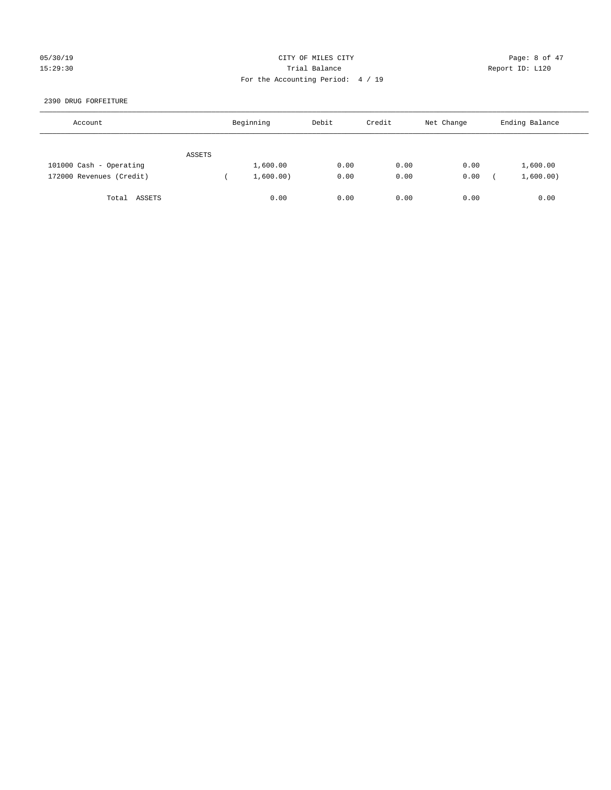## 05/30/19 CITY OF MILES CITY Page: 8 of 47 15:29:30 Trial Balance Report ID: L120 For the Accounting Period: 4 / 19

## 2390 DRUG FORFEITURE

| Account                  |        | Beginning | Debit | Credit | Net Change | Ending Balance |
|--------------------------|--------|-----------|-------|--------|------------|----------------|
|                          | ASSETS |           |       |        |            |                |
| 101000 Cash - Operating  |        | 1,600.00  | 0.00  | 0.00   | 0.00       | 1,600.00       |
| 172000 Revenues (Credit) |        | 1,600.00) | 0.00  | 0.00   | 0.00       | 1,600.00)      |
| ASSETS<br>Total          |        | 0.00      | 0.00  | 0.00   | 0.00       | 0.00           |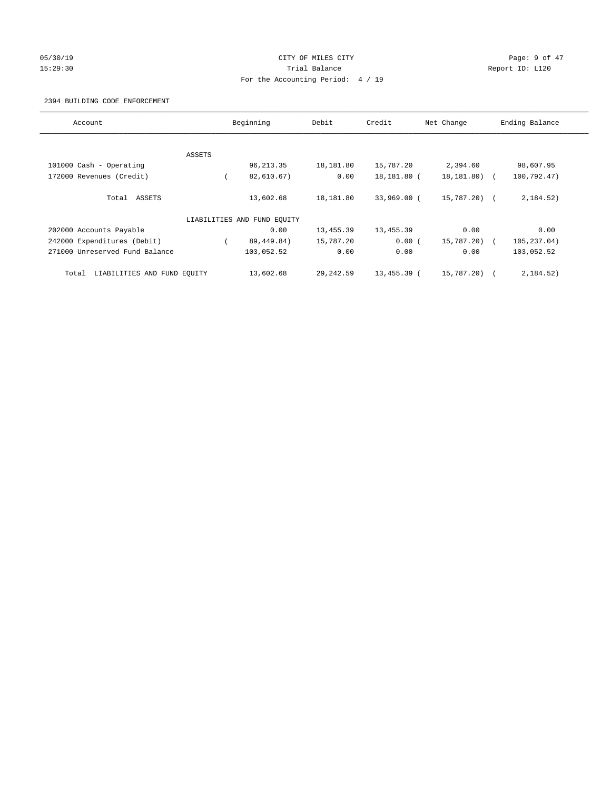## 05/30/19 Page: 9 of 47 15:29:30 Report ID: L120 For the Accounting Period: 4 / 19

## 2394 BUILDING CODE ENFORCEMENT

| Account                              |        | Beginning                   | Debit      | Credit      | Net Change   | Ending Balance |
|--------------------------------------|--------|-----------------------------|------------|-------------|--------------|----------------|
|                                      |        |                             |            |             |              |                |
|                                      | ASSETS |                             |            |             |              |                |
| 101000 Cash - Operating              |        | 96, 213.35                  | 18,181.80  | 15,787.20   | 2,394.60     | 98,607.95      |
| 172000 Revenues (Credit)             |        | 82,610.67)                  | 0.00       | 18,181.80 ( | 18,181.80) ( | 100,792.47)    |
| Total ASSETS                         |        | 13,602.68                   | 18,181.80  | 33,969.00 ( | 15,787.20) ( | 2,184.52)      |
|                                      |        | LIABILITIES AND FUND EQUITY |            |             |              |                |
| 202000 Accounts Payable              |        | 0.00                        | 13,455.39  | 13,455.39   | 0.00         | 0.00           |
| 242000 Expenditures (Debit)          |        | 89,449.84)                  | 15,787.20  | 0.00(       | 15,787.20) ( | 105,237.04)    |
| 271000 Unreserved Fund Balance       |        | 103,052.52                  | 0.00       | 0.00        | 0.00         | 103,052.52     |
| LIABILITIES AND FUND EQUITY<br>Total |        | 13,602.68                   | 29, 242.59 | 13,455.39 ( | 15,787.20) ( | 2,184.52)      |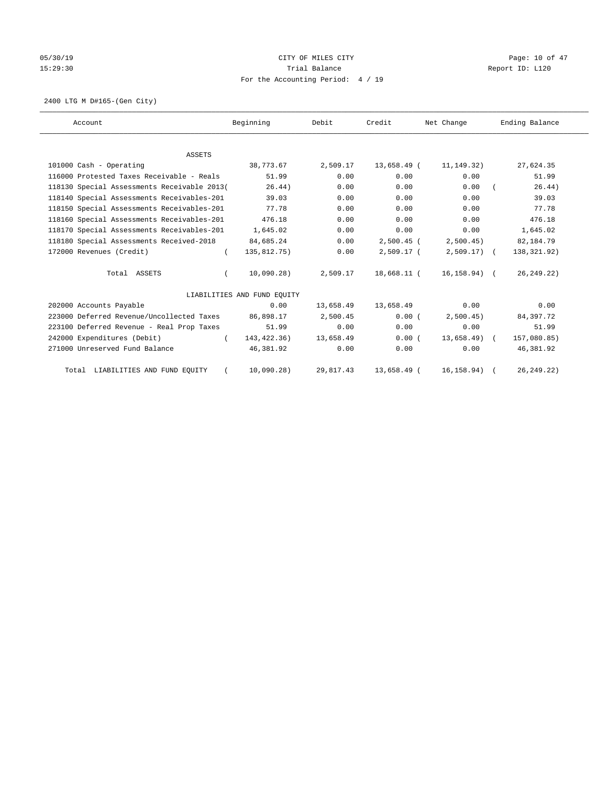# 05/30/19 Page: 10 of 47 15:29:30 Report ID: L120 For the Accounting Period: 4 / 19

2400 LTG M D#165-(Gen City)

| Account                                     | Beginning                   | Debit     | Credit       | Net Change    | Ending Balance |
|---------------------------------------------|-----------------------------|-----------|--------------|---------------|----------------|
|                                             |                             |           |              |               |                |
| <b>ASSETS</b>                               |                             |           |              |               |                |
| 101000 Cash - Operating                     | 38,773.67                   | 2,509.17  | 13,658.49 (  | 11,149.32)    | 27,624.35      |
| 116000 Protested Taxes Receivable - Reals   | 51.99                       | 0.00      | 0.00         | 0.00          | 51.99          |
| 118130 Special Assessments Receivable 2013( | 26.44)                      | 0.00      | 0.00         | 0.00          | 26.44)         |
| 118140 Special Assessments Receivables-201  | 39.03                       | 0.00      | 0.00         | 0.00          | 39.03          |
| 118150 Special Assessments Receivables-201  | 77.78                       | 0.00      | 0.00         | 0.00          | 77.78          |
| 118160 Special Assessments Receivables-201  | 476.18                      | 0.00      | 0.00         | 0.00          | 476.18         |
| 118170 Special Assessments Receivables-201  | 1,645.02                    | 0.00      | 0.00         | 0.00          | 1,645.02       |
| 118180 Special Assessments Received-2018    | 84,685.24                   | 0.00      | $2.500.45$ ( | 2,500.45)     | 82,184.79      |
| 172000 Revenues (Credit)<br>$\left($        | 135,812.75)                 | 0.00      | $2,509.17$ ( | $2,509.17$ (  | 138,321.92)    |
| Total ASSETS                                | 10,090.28)                  | 2,509.17  | 18,668.11 (  | 16,158.94) (  | 26, 249. 22)   |
|                                             | LIABILITIES AND FUND EQUITY |           |              |               |                |
| 202000 Accounts Payable                     | 0.00                        | 13,658.49 | 13,658.49    | 0.00          | 0.00           |
| 223000 Deferred Revenue/Uncollected Taxes   | 86,898.17                   | 2,500.45  | 0.00(        | 2,500.45      | 84,397.72      |
| 223100 Deferred Revenue - Real Prop Taxes   | 51.99                       | 0.00      | 0.00         | 0.00          | 51.99          |
| 242000 Expenditures (Debit)<br>$\left($     | 143,422.36)                 | 13,658.49 | 0.00(        | $13,658.49$ ( | 157,080.85)    |
| 271000 Unreserved Fund Balance              | 46,381.92                   | 0.00      | 0.00         | 0.00          | 46,381.92      |
| Total LIABILITIES AND FUND EQUITY           | 10,090.28)                  | 29,817.43 | 13,658.49 (  | 16, 158.94)   | 26, 249.22)    |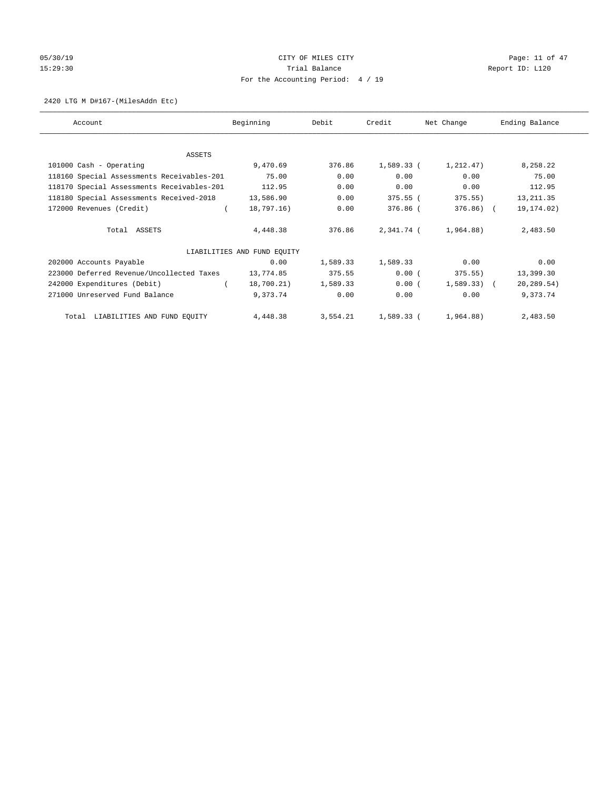# 05/30/19 Page: 11 of 47 15:29:30 Report ID: L120 For the Accounting Period: 4 / 19

## 2420 LTG M D#167-(MilesAddn Etc)

| Account                                    | Beginning                   | Debit    | Credit     | Net Change   | Ending Balance |
|--------------------------------------------|-----------------------------|----------|------------|--------------|----------------|
|                                            |                             |          |            |              |                |
| ASSETS                                     |                             |          |            |              |                |
| 101000 Cash - Operating                    | 9,470.69                    | 376.86   | 1,589.33 ( | 1,212.47)    | 8,258.22       |
| 118160 Special Assessments Receivables-201 | 75.00                       | 0.00     | 0.00       | 0.00         | 75.00          |
| 118170 Special Assessments Receivables-201 | 112.95                      | 0.00     | 0.00       | 0.00         | 112.95         |
| 118180 Special Assessments Received-2018   | 13,586.90                   | 0.00     | 375.55(    | 375.55)      | 13, 211.35     |
| 172000 Revenues (Credit)                   | 18,797.16)                  | 0.00     | 376.86 (   | 376.86) (    | 19, 174.02)    |
|                                            |                             |          |            |              |                |
| Total ASSETS                               | 4,448.38                    | 376.86   | 2,341.74 ( | 1,964.88)    | 2,483.50       |
|                                            |                             |          |            |              |                |
|                                            | LIABILITIES AND FUND EQUITY |          |            |              |                |
| 202000 Accounts Payable                    | 0.00                        | 1,589.33 | 1,589.33   | 0.00         | 0.00           |
| 223000 Deferred Revenue/Uncollected Taxes  | 13,774.85                   | 375.55   | 0.00(      | 375.55)      | 13,399.30      |
| 242000 Expenditures (Debit)                | 18,700.21)                  | 1,589.33 | 0.00(      | $1,589.33$ ( | 20,289.54)     |
| 271000 Unreserved Fund Balance             | 9,373.74                    | 0.00     | 0.00       | 0.00         | 9,373.74       |
|                                            |                             |          |            |              |                |
| Total LIABILITIES AND FUND EQUITY          | 4,448.38                    | 3,554.21 | 1,589.33 ( | 1,964.88)    | 2,483.50       |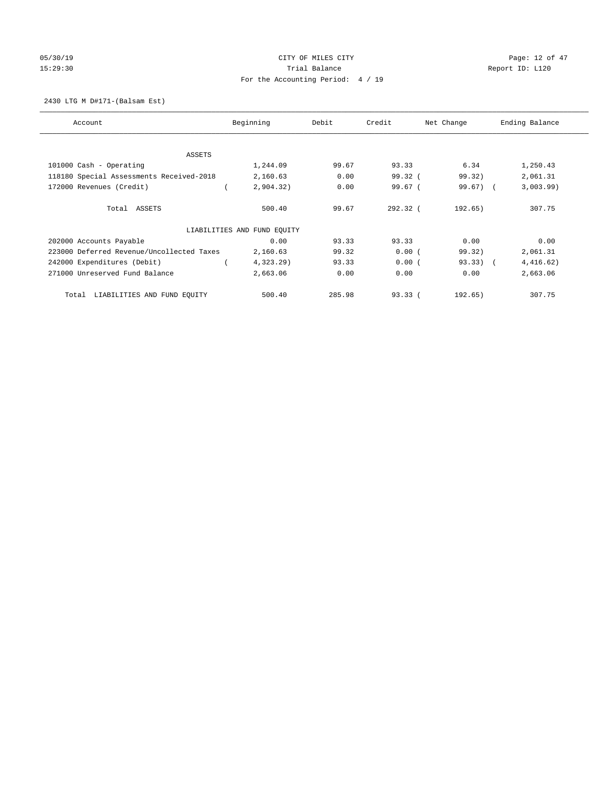# 05/30/19 Page: 12 of 47 15:29:30 Report ID: L120 For the Accounting Period: 4 / 19

## 2430 LTG M D#171-(Balsam Est)

| Account                                   | Beginning                   | Debit  | Credit     | Net Change | Ending Balance |
|-------------------------------------------|-----------------------------|--------|------------|------------|----------------|
|                                           |                             |        |            |            |                |
| ASSETS<br>101000 Cash - Operating         | 1,244.09                    | 99.67  | 93.33      | 6.34       | 1,250.43       |
| 118180 Special Assessments Received-2018  | 2,160.63                    | 0.00   | 99.32(     | 99.32)     | 2,061.31       |
|                                           |                             |        |            |            |                |
| 172000 Revenues (Credit)                  | 2,904.32)                   | 0.00   | 99.67(     | 99.67) (   | 3,003.99)      |
| Total ASSETS                              | 500.40                      | 99.67  | $292.32$ ( | 192.65)    | 307.75         |
|                                           | LIABILITIES AND FUND EQUITY |        |            |            |                |
| 202000 Accounts Payable                   | 0.00                        | 93.33  | 93.33      | 0.00       | 0.00           |
| 223000 Deferred Revenue/Uncollected Taxes | 2,160.63                    | 99.32  | 0.00(      | 99.32)     | 2,061.31       |
| 242000 Expenditures (Debit)               | 4,323.29)                   | 93.33  | 0.00(      | $93.33)$ ( | 4,416.62)      |
| 271000 Unreserved Fund Balance            | 2,663.06                    | 0.00   | 0.00       | 0.00       | 2,663.06       |
| LIABILITIES AND FUND EQUITY<br>Total      | 500.40                      | 285.98 | 93.33(     | 192.65)    | 307.75         |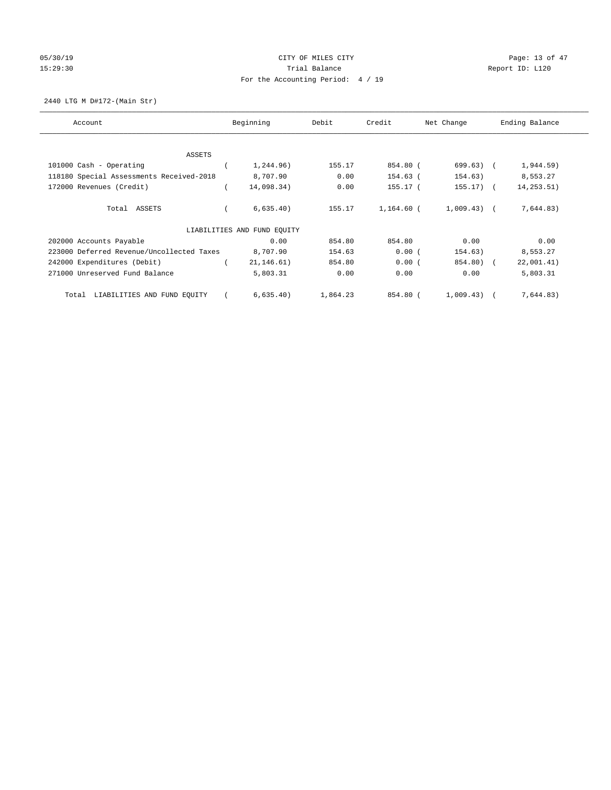# 05/30/19 Page: 13 of 47 15:29:30 Report ID: L120 For the Accounting Period: 4 / 19

2440 LTG M D#172-(Main Str)

| Account                                   | Beginning                   | Debit    | Credit     | Net Change   | Ending Balance |
|-------------------------------------------|-----------------------------|----------|------------|--------------|----------------|
| <b>ASSETS</b>                             |                             |          |            |              |                |
| 101000 Cash - Operating                   | 1,244.96)                   | 155.17   | 854.80 (   | $699.63)$ (  | 1,944.59)      |
| 118180 Special Assessments Received-2018  | 8,707.90                    | 0.00     | 154.63 (   | 154.63)      | 8,553.27       |
| 172000 Revenues (Credit)                  | 14,098.34)                  | 0.00     | 155.17 (   | $155.17$ ) ( | 14, 253.51)    |
| Total ASSETS                              | 6,635.40)                   | 155.17   | 1,164.60 ( | $1,009.43$ ( | 7,644.83)      |
|                                           | LIABILITIES AND FUND EOUITY |          |            |              |                |
| 202000 Accounts Payable                   | 0.00                        | 854.80   | 854.80     | 0.00         | 0.00           |
| 223000 Deferred Revenue/Uncollected Taxes | 8,707.90                    | 154.63   | 0.00(      | 154.63)      | 8,553.27       |
| 242000 Expenditures (Debit)               | 21, 146.61)                 | 854.80   | 0.00(      | 854.80) (    | 22,001.41)     |
| 271000 Unreserved Fund Balance            | 5,803.31                    | 0.00     | 0.00       | 0.00         | 5,803.31       |
| LIABILITIES AND FUND EQUITY<br>Total      | 6,635.40)                   | 1,864.23 | 854.80 (   | 1,009.43)    | 7,644.83)      |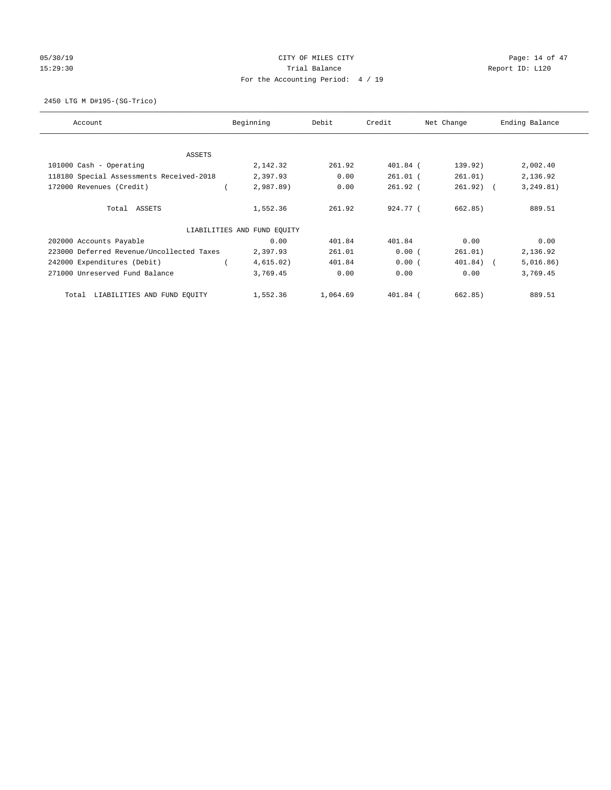# 05/30/19 Page: 14 of 47 15:29:30 Report ID: L120 For the Accounting Period: 4 / 19

2450 LTG M D#195-(SG-Trico)

| Account                                   | Beginning                   | Debit    | Credit     | Net Change  | Ending Balance |
|-------------------------------------------|-----------------------------|----------|------------|-------------|----------------|
| <b>ASSETS</b>                             |                             |          |            |             |                |
| 101000 Cash - Operating                   | 2,142.32                    | 261.92   | 401.84 (   | 139.92)     | 2,002.40       |
| 118180 Special Assessments Received-2018  | 2,397.93                    | 0.00     | $261.01$ ( | 261.01)     | 2,136.92       |
| 172000 Revenues (Credit)                  | 2,987.89)                   | 0.00     | $261.92$ ( | $261.92)$ ( | 3, 249.81)     |
| Total ASSETS                              | 1,552.36                    | 261.92   | 924.77 (   | 662.85)     | 889.51         |
|                                           | LIABILITIES AND FUND EQUITY |          |            |             |                |
| 202000 Accounts Payable                   | 0.00                        | 401.84   | 401.84     | 0.00        | 0.00           |
| 223000 Deferred Revenue/Uncollected Taxes | 2,397.93                    | 261.01   | 0.00(      | 261.01)     | 2,136.92       |
| 242000 Expenditures (Debit)               | 4,615.02)                   | 401.84   | 0.00(      | 401.84) (   | 5,016.86)      |
| 271000 Unreserved Fund Balance            | 3,769.45                    | 0.00     | 0.00       | 0.00        | 3,769.45       |
| LIABILITIES AND FUND EQUITY<br>Total      | 1,552.36                    | 1,064.69 | $401.84$ ( | 662.85)     | 889.51         |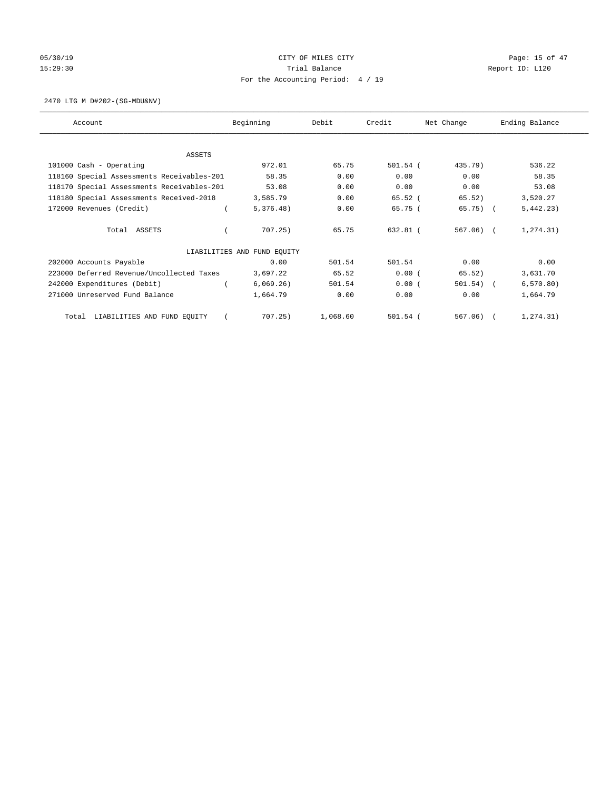# 05/30/19 Page: 15 of 47 15:29:30 Report ID: L120 For the Accounting Period: 4 / 19

2470 LTG M D#202-(SG-MDU&NV)

| Account                                    | Beginning                   | Debit    | Credit     | Net Change  | Ending Balance |
|--------------------------------------------|-----------------------------|----------|------------|-------------|----------------|
|                                            |                             |          |            |             |                |
| ASSETS                                     |                             |          |            |             |                |
| 101000 Cash - Operating                    | 972.01                      | 65.75    | $501.54$ ( | 435.79)     | 536.22         |
| 118160 Special Assessments Receivables-201 | 58.35                       | 0.00     | 0.00       | 0.00        | 58.35          |
| 118170 Special Assessments Receivables-201 | 53.08                       | 0.00     | 0.00       | 0.00        | 53.08          |
| 118180 Special Assessments Received-2018   | 3,585.79                    | 0.00     | 65.52 (    | 65.52)      | 3,520.27       |
| 172000 Revenues (Credit)                   | 5,376.48)                   | 0.00     | 65.75(     | $65.75$ ) ( | 5,442.23)      |
| Total ASSETS                               | 707.25)                     | 65.75    | 632.81 (   | $567.06)$ ( | 1, 274.31)     |
|                                            | LIABILITIES AND FUND EQUITY |          |            |             |                |
| 202000 Accounts Payable                    | 0.00                        | 501.54   | 501.54     | 0.00        | 0.00           |
| 223000 Deferred Revenue/Uncollected Taxes  | 3,697.22                    | 65.52    | 0.00(      | 65.52)      | 3,631.70       |
| 242000 Expenditures (Debit)                | 6,069.26)                   | 501.54   | 0.00(      | $501.54)$ ( | 6, 570.80)     |
| 271000 Unreserved Fund Balance             | 1,664.79                    | 0.00     | 0.00       | 0.00        | 1,664.79       |
| LIABILITIES AND FUND EQUITY<br>Total       | 707.25)                     | 1,068.60 | $501.54$ ( | 567.06)     | 1, 274.31)     |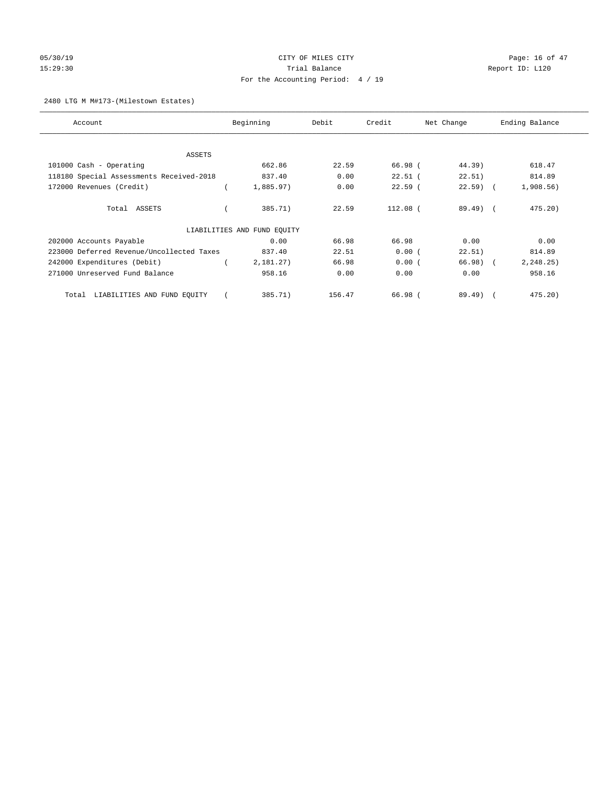# 05/30/19 Page: 16 of 47 15:29:30 Report ID: L120 For the Accounting Period: 4 / 19

## 2480 LTG M M#173-(Milestown Estates)

| Account                                   | Beginning                   | Debit  | Credit     | Net Change  | Ending Balance |
|-------------------------------------------|-----------------------------|--------|------------|-------------|----------------|
| ASSETS                                    |                             |        |            |             |                |
| 101000 Cash - Operating                   | 662.86                      | 22.59  | 66.98 (    | 44.39)      | 618.47         |
| 118180 Special Assessments Received-2018  | 837.40                      | 0.00   | $22.51$ (  | 22.51)      | 814.89         |
| 172000 Revenues (Credit)                  | 1,885.97)                   | 0.00   | $22.59$ (  | $22.59$ (   | 1,908.56)      |
| Total ASSETS                              | 385.71)                     | 22.59  | $112.08$ ( | $89.49$ $($ | 475.20         |
|                                           | LIABILITIES AND FUND EQUITY |        |            |             |                |
| 202000 Accounts Payable                   | 0.00                        | 66.98  | 66.98      | 0.00        | 0.00           |
| 223000 Deferred Revenue/Uncollected Taxes | 837.40                      | 22.51  | 0.00(      | 22.51)      | 814.89         |
| 242000 Expenditures (Debit)               | 2,181.27)                   | 66.98  | 0.00(      | 66.98) (    | 2, 248.25)     |
| 271000 Unreserved Fund Balance            | 958.16                      | 0.00   | 0.00       | 0.00        | 958.16         |
| LIABILITIES AND FUND EQUITY<br>Total      | 385.71)                     | 156.47 | 66.98 (    | $89.49$ $($ | $475.20$ )     |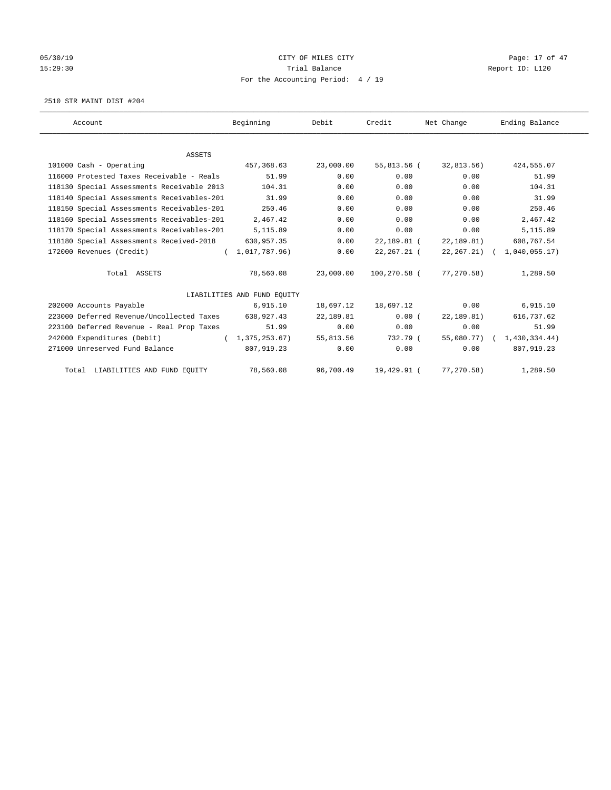# 05/30/19 Page: 17 of 47 15:29:30 Report ID: L120 For the Accounting Period: 4 / 19

2510 STR MAINT DIST #204

| Account                                    | Beginning                   | Debit     | Credit       | Net Change      | Ending Balance             |
|--------------------------------------------|-----------------------------|-----------|--------------|-----------------|----------------------------|
|                                            |                             |           |              |                 |                            |
| <b>ASSETS</b>                              |                             |           |              |                 |                            |
| 101000 Cash - Operating                    | 457,368.63                  | 23,000.00 | 55,813.56 (  | 32,813.56)      | 424,555.07                 |
| 116000 Protested Taxes Receivable - Reals  | 51.99                       | 0.00      | 0.00         | 0.00            | 51.99                      |
| 118130 Special Assessments Receivable 2013 | 104.31                      | 0.00      | 0.00         | 0.00            | 104.31                     |
| 118140 Special Assessments Receivables-201 | 31.99                       | 0.00      | 0.00         | 0.00            | 31.99                      |
| 118150 Special Assessments Receivables-201 | 250.46                      | 0.00      | 0.00         | 0.00            | 250.46                     |
| 118160 Special Assessments Receivables-201 | 2,467.42                    | 0.00      | 0.00         | 0.00            | 2,467.42                   |
| 118170 Special Assessments Receivables-201 | 5,115.89                    | 0.00      | 0.00         | 0.00            | 5,115.89                   |
| 118180 Special Assessments Received-2018   | 630,957.35                  | 0.00      | 22,189.81 (  | 22, 189.81)     | 608,767.54                 |
| 172000 Revenues (Credit)                   | (1,017,787,96)              | 0.00      | 22,267.21 (  | $22, 267, 21$ ( | 1,040,055.17               |
| Total ASSETS                               | 78,560.08                   | 23,000.00 | 100,270.58 ( | 77,270.58)      | 1,289.50                   |
|                                            | LIABILITIES AND FUND EQUITY |           |              |                 |                            |
| 202000 Accounts Payable                    | 6,915.10                    | 18,697.12 | 18,697.12    | 0.00            | 6,915.10                   |
| 223000 Deferred Revenue/Uncollected Taxes  | 638,927.43                  | 22,189.81 | 0.00(        | 22,189.81)      | 616,737.62                 |
| 223100 Deferred Revenue - Real Prop Taxes  | 51.99                       | 0.00      | 0.00         | 0.00            | 51.99                      |
| 242000 Expenditures (Debit)                | (1, 375, 253, 67)           | 55,813.56 | 732.79 (     |                 | 55,080.77) ( 1,430,334.44) |
| 271000 Unreserved Fund Balance             | 807,919.23                  | 0.00      | 0.00         | 0.00            | 807, 919.23                |
| Total LIABILITIES AND FUND EQUITY          | 78,560.08                   | 96,700.49 | 19,429.91 (  | 77,270.58)      | 1,289.50                   |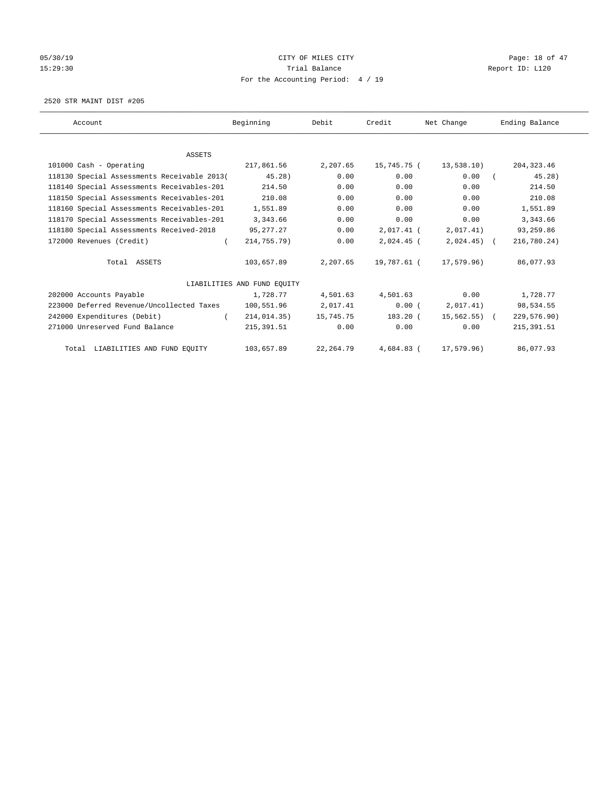# 05/30/19 Page: 18 of 47 15:29:30 Report ID: L120 For the Accounting Period: 4 / 19

2520 STR MAINT DIST #205

| Account                                     | Beginning                   | Debit      | Credit       | Net Change      | Ending Balance |
|---------------------------------------------|-----------------------------|------------|--------------|-----------------|----------------|
|                                             |                             |            |              |                 |                |
| <b>ASSETS</b><br>101000 Cash - Operating    | 217,861.56                  | 2,207.65   | 15,745.75 (  | 13,538.10)      | 204, 323.46    |
|                                             |                             |            |              |                 |                |
| 118130 Special Assessments Receivable 2013( | 45.28)                      | 0.00       | 0.00         | 0.00            | 45.28)         |
| 118140 Special Assessments Receivables-201  | 214.50                      | 0.00       | 0.00         | 0.00            | 214.50         |
| 118150 Special Assessments Receivables-201  | 210.08                      | 0.00       | 0.00         | 0.00            | 210.08         |
| 118160 Special Assessments Receivables-201  | 1,551.89                    | 0.00       | 0.00         | 0.00            | 1,551.89       |
| 118170 Special Assessments Receivables-201  | 3,343.66                    | 0.00       | 0.00         | 0.00            | 3,343.66       |
| 118180 Special Assessments Received-2018    | 95,277.27                   | 0.00       | 2,017.41 (   | 2,017.41)       | 93,259.86      |
| 172000 Revenues (Credit)<br>$\left($        | 214,755.79)                 | 0.00       | $2,024.45$ ( | $2,024.45$ (    | 216,780.24)    |
| Total ASSETS                                | 103,657.89                  | 2,207.65   | 19,787.61 (  | 17,579.96)      | 86,077.93      |
|                                             | LIABILITIES AND FUND EQUITY |            |              |                 |                |
| 202000 Accounts Payable                     | 1,728.77                    | 4,501.63   | 4,501.63     | 0.00            | 1,728.77       |
| 223000 Deferred Revenue/Uncollected Taxes   | 100,551.96                  | 2,017.41   | 0.00(        | 2,017.41)       | 98,534.55      |
| 242000 Expenditures (Debit)                 | 214,014.35)                 | 15,745.75  | 183.20 (     | $15,562.55$ ) ( | 229,576.90)    |
| 271000 Unreserved Fund Balance              | 215, 391.51                 | 0.00       | 0.00         | 0.00            | 215, 391.51    |
| Total LIABILITIES AND FUND EQUITY           | 103,657.89                  | 22, 264.79 | 4,684.83 (   | 17,579.96)      | 86,077.93      |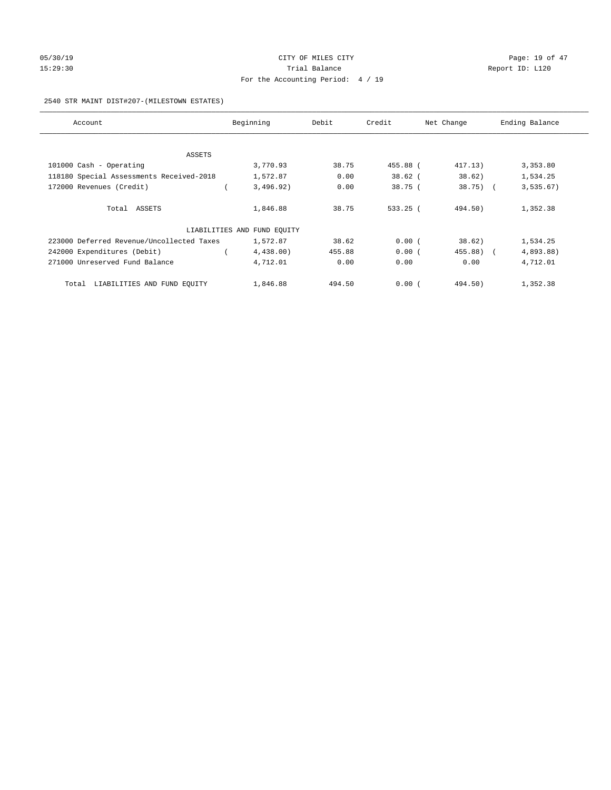# 05/30/19 Page: 19 of 47 15:29:30 Report ID: L120 For the Accounting Period: 4 / 19

## 2540 STR MAINT DIST#207-(MILESTOWN ESTATES)

| Account                                   | Beginning                   | Debit  | Credit    | Net Change | Ending Balance |
|-------------------------------------------|-----------------------------|--------|-----------|------------|----------------|
|                                           |                             |        |           |            |                |
| ASSETS                                    |                             |        |           |            |                |
| 101000 Cash - Operating                   | 3,770.93                    | 38.75  | 455.88 (  | 417.13)    | 3,353.80       |
| 118180 Special Assessments Received-2018  | 1,572.87                    | 0.00   | $38.62$ ( | 38.62      | 1,534.25       |
| 172000 Revenues (Credit)                  | 3,496.92)                   | 0.00   | 38.75(    | $38.75)$ ( | 3, 535.67)     |
| Total ASSETS                              | 1,846.88                    | 38.75  | 533.25 (  | 494.50)    | 1,352.38       |
|                                           | LIABILITIES AND FUND EQUITY |        |           |            |                |
| 223000 Deferred Revenue/Uncollected Taxes | 1,572.87                    | 38.62  | 0.00(     | 38.62)     | 1,534.25       |
| 242000 Expenditures (Debit)               | 4,438.00                    | 455.88 | 0.00(     | 455.88) (  | 4,893.88)      |
| 271000 Unreserved Fund Balance            | 4,712.01                    | 0.00   | 0.00      | 0.00       | 4,712.01       |
| LIABILITIES AND FUND EQUITY<br>Total      | 1,846.88                    | 494.50 | 0.00(     | 494.50)    | 1,352.38       |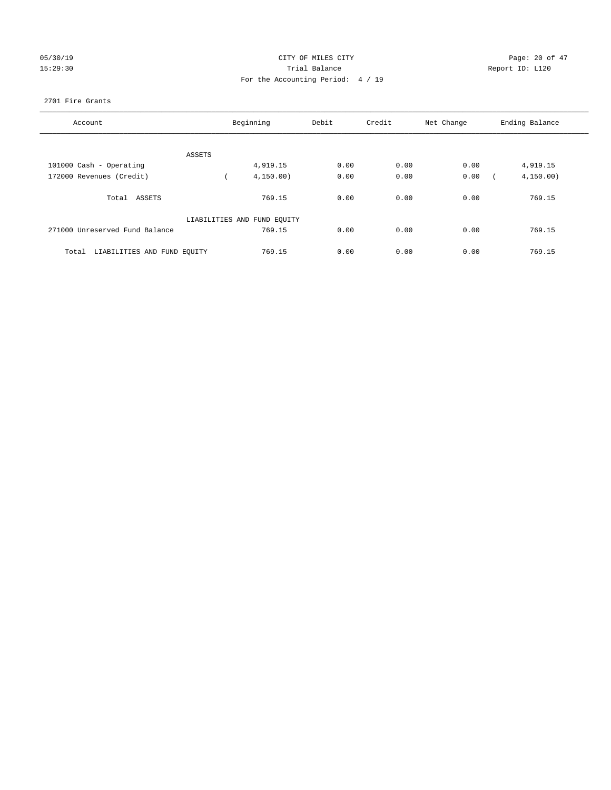## 05/30/19 Page: 20 of 47 15:29:30 Trial Balance Report ID: L120 For the Accounting Period: 4 / 19

## 2701 Fire Grants

| Account                              |        | Beginning                   | Debit | Credit | Net Change | Ending Balance |
|--------------------------------------|--------|-----------------------------|-------|--------|------------|----------------|
|                                      |        |                             |       |        |            |                |
|                                      | ASSETS |                             |       |        |            |                |
| 101000 Cash - Operating              |        | 4,919.15                    | 0.00  | 0.00   | 0.00       | 4,919.15       |
| 172000 Revenues (Credit)             |        | 4, 150.00)                  | 0.00  | 0.00   | 0.00       | 4, 150.00)     |
| Total ASSETS                         |        | 769.15                      | 0.00  | 0.00   | 0.00       | 769.15         |
|                                      |        | LIABILITIES AND FUND EQUITY |       |        |            |                |
| 271000 Unreserved Fund Balance       |        | 769.15                      | 0.00  | 0.00   | 0.00       | 769.15         |
| LIABILITIES AND FUND EQUITY<br>Total |        | 769.15                      | 0.00  | 0.00   | 0.00       | 769.15         |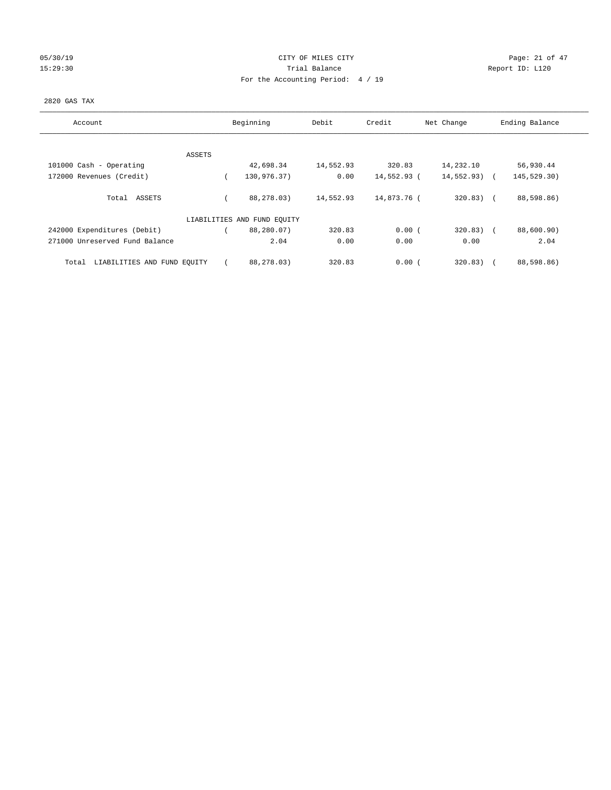## 05/30/19 Page: 21 of 47 15:29:30 Report ID: L120 For the Accounting Period: 4 / 19

## 2820 GAS TAX

| Account                              | Beginning                   | Debit     | Credit      | Net Change    | Ending Balance |
|--------------------------------------|-----------------------------|-----------|-------------|---------------|----------------|
| ASSETS                               |                             |           |             |               |                |
| 101000 Cash - Operating              | 42,698.34                   | 14,552.93 | 320.83      | 14,232.10     | 56,930.44      |
| 172000 Revenues (Credit)             | 130,976.37)                 | 0.00      | 14,552.93 ( | $14,552.93$ ( | 145,529.30)    |
| Total ASSETS                         | 88,278.03)                  | 14,552.93 | 14,873.76 ( | $320.83)$ (   | 88,598.86)     |
|                                      | LIABILITIES AND FUND EQUITY |           |             |               |                |
| 242000 Expenditures (Debit)          | 88,280.07)                  | 320.83    | 0.00(       | $320.83)$ (   | 88,600.90)     |
| 271000 Unreserved Fund Balance       | 2.04                        | 0.00      | 0.00        | 0.00          | 2.04           |
| LIABILITIES AND FUND EQUITY<br>Total | 88,278.03)                  | 320.83    | 0.00(       | 320.83)       | 88,598.86)     |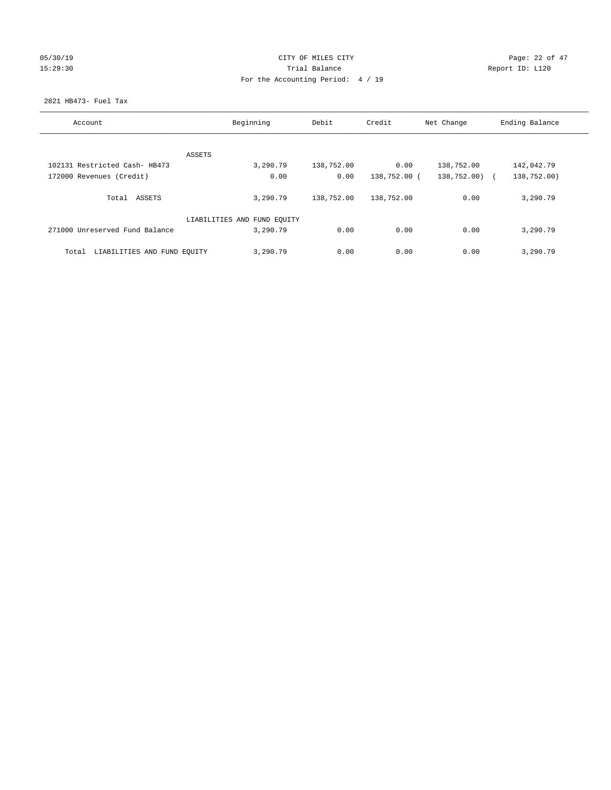## 05/30/19 Page: 22 of 47 15:29:30 Report ID: L120 For the Accounting Period: 4 / 19

## 2821 HB473- Fuel Tax

| Account                              | Beginning                   | Debit      | Credit       | Net Change  | Ending Balance |
|--------------------------------------|-----------------------------|------------|--------------|-------------|----------------|
|                                      |                             |            |              |             |                |
|                                      | ASSETS                      |            |              |             |                |
| 102131 Restricted Cash- HB473        | 3,290.79                    | 138,752.00 | 0.00         | 138,752.00  | 142,042.79     |
| 172000 Revenues (Credit)             | 0.00                        | 0.00       | 138,752.00 ( | 138,752.00) | 138,752.00)    |
| Total<br>ASSETS                      | 3,290.79                    | 138,752.00 | 138,752.00   | 0.00        | 3,290.79       |
|                                      | LIABILITIES AND FUND EQUITY |            |              |             |                |
| 271000 Unreserved Fund Balance       | 3,290.79                    | 0.00       | 0.00         | 0.00        | 3,290.79       |
| LIABILITIES AND FUND EQUITY<br>Total | 3,290.79                    | 0.00       | 0.00         | 0.00        | 3,290.79       |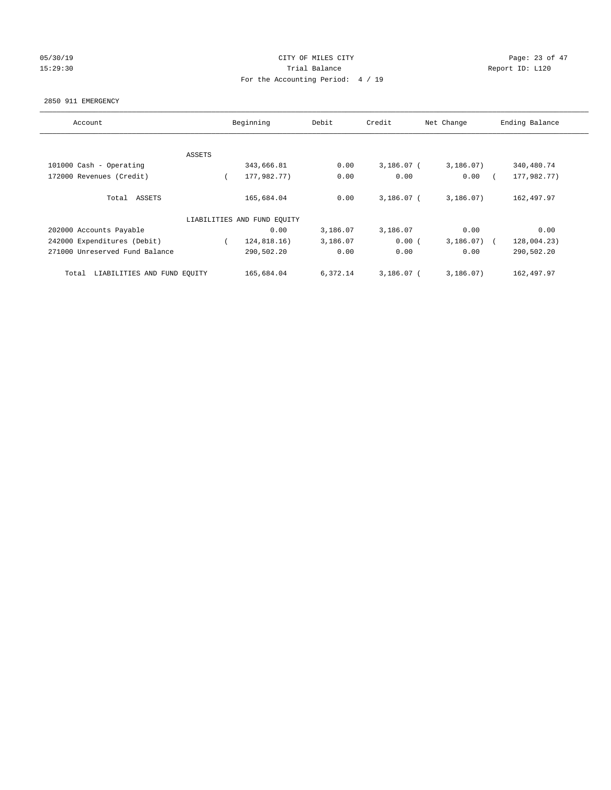## 05/30/19 Page: 23 of 47 15:29:30 Report ID: L120 For the Accounting Period: 4 / 19

#### 2850 911 EMERGENCY

| Account                              |        | Beginning                   | Debit    | Credit       | Net Change   | Ending Balance |
|--------------------------------------|--------|-----------------------------|----------|--------------|--------------|----------------|
|                                      |        |                             |          |              |              |                |
|                                      | ASSETS |                             |          |              |              |                |
| 101000 Cash - Operating              |        | 343,666.81                  | 0.00     | $3,186.07$ ( | 3,186.07)    | 340,480.74     |
| 172000 Revenues (Credit)             |        | 177,982.77)                 | 0.00     | 0.00         | 0.00         | 177,982.77)    |
| Total ASSETS                         |        | 165,684.04                  | 0.00     | $3.186.07$ ( | 3,186.07)    | 162,497.97     |
|                                      |        | LIABILITIES AND FUND EQUITY |          |              |              |                |
| 202000 Accounts Payable              |        | 0.00                        | 3,186.07 | 3,186.07     | 0.00         | 0.00           |
| 242000 Expenditures (Debit)          |        | 124,818.16)                 | 3,186.07 | 0.00(        | $3,186.07$ ( | 128,004.23)    |
| 271000 Unreserved Fund Balance       |        | 290,502.20                  | 0.00     | 0.00         | 0.00         | 290,502.20     |
| LIABILITIES AND FUND EQUITY<br>Total |        | 165,684.04                  | 6,372.14 | $3.186.07$ ( | 3.186.07     | 162,497.97     |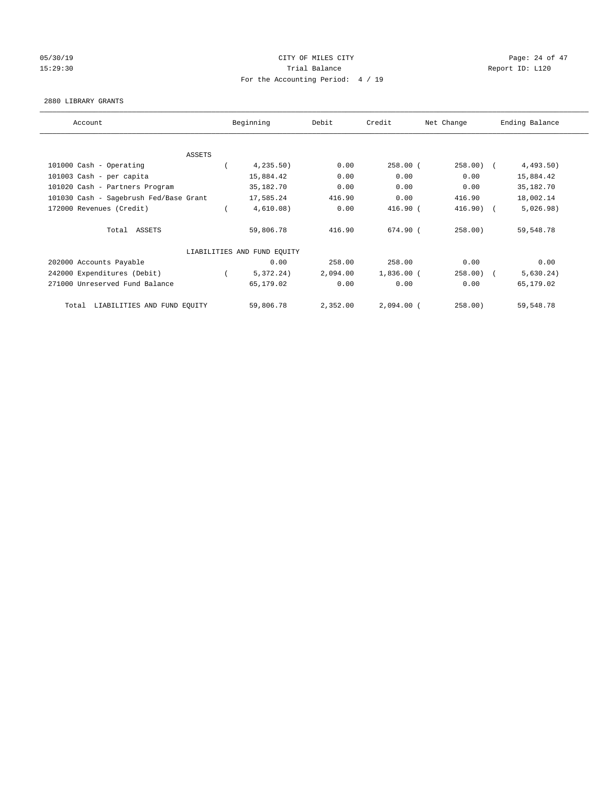## 05/30/19 Page: 24 of 47 15:29:30 Report ID: L120 For the Accounting Period: 4 / 19

## 2880 LIBRARY GRANTS

| Account                                | Beginning                   | Debit    | Credit       | Net Change | Ending Balance |
|----------------------------------------|-----------------------------|----------|--------------|------------|----------------|
|                                        |                             |          |              |            |                |
| ASSETS                                 |                             |          |              |            |                |
| 101000 Cash - Operating                | 4, 235.50)                  | 0.00     | $258.00$ (   | $258.00$ ( | 4,493.50)      |
| 101003 Cash - per capita               | 15,884.42                   | 0.00     | 0.00         | 0.00       | 15,884.42      |
| 101020 Cash - Partners Program         | 35,182.70                   | 0.00     | 0.00         | 0.00       | 35,182.70      |
| 101030 Cash - Sagebrush Fed/Base Grant | 17,585.24                   | 416.90   | 0.00         | 416.90     | 18,002.14      |
| 172000 Revenues (Credit)               | 4,610.08)                   | 0.00     | 416.90 (     | $416.90$ ( | 5,026.98)      |
| Total ASSETS                           | 59,806.78                   | 416.90   | 674.90 (     | 258.00)    | 59,548.78      |
|                                        | LIABILITIES AND FUND EQUITY |          |              |            |                |
| 202000 Accounts Payable                | 0.00                        | 258.00   | 258.00       | 0.00       | 0.00           |
| 242000 Expenditures (Debit)            | 5,372.24)                   | 2,094.00 | $1,836.00$ ( | $258.00$ ( | 5,630.24)      |
| 271000 Unreserved Fund Balance         | 65,179.02                   | 0.00     | 0.00         | 0.00       | 65,179.02      |
| Total LIABILITIES AND FUND EQUITY      | 59,806.78                   | 2,352.00 | $2,094.00$ ( | 258.00)    | 59,548.78      |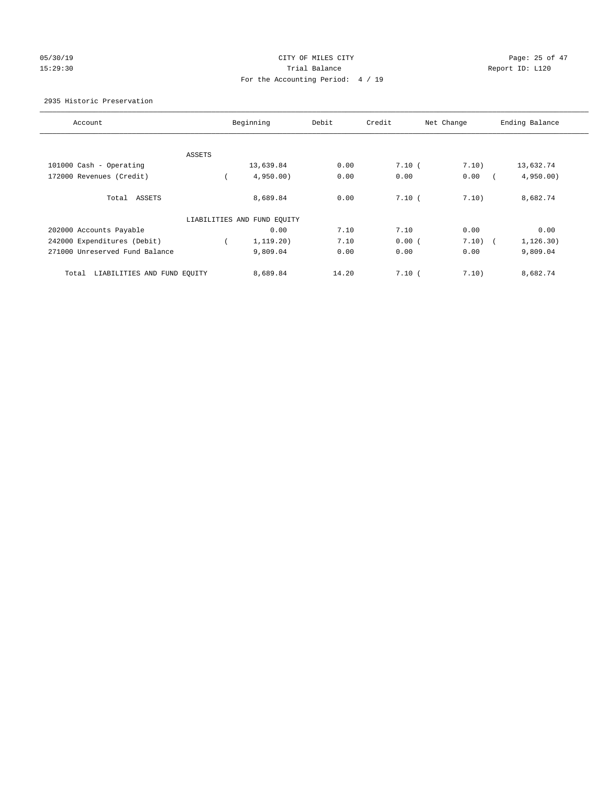# 05/30/19 Page: 25 of 47 15:29:30 Report ID: L120 For the Accounting Period: 4 / 19

## 2935 Historic Preservation

| Account                              |        | Beginning                   | Debit | Credit | Net Change | Ending Balance |
|--------------------------------------|--------|-----------------------------|-------|--------|------------|----------------|
|                                      |        |                             |       |        |            |                |
|                                      | ASSETS |                             |       |        |            |                |
| 101000 Cash - Operating              |        | 13,639.84                   | 0.00  | 7.10(  | 7.10)      | 13,632.74      |
| 172000 Revenues (Credit)             |        | 4,950.00                    | 0.00  | 0.00   | 0.00       | 4,950.00       |
| Total ASSETS                         |        | 8,689.84                    | 0.00  | 7.10(  | 7.10)      | 8,682.74       |
|                                      |        | LIABILITIES AND FUND EQUITY |       |        |            |                |
| 202000 Accounts Payable              |        | 0.00                        | 7.10  | 7.10   | 0.00       | 0.00           |
| 242000 Expenditures (Debit)          |        | 1, 119.20)                  | 7.10  | 0.00(  | 7.10)      | 1, 126.30)     |
| 271000 Unreserved Fund Balance       |        | 9,809.04                    | 0.00  | 0.00   | 0.00       | 9,809.04       |
| LIABILITIES AND FUND EQUITY<br>Total |        | 8,689.84                    | 14.20 | 7.10(  | 7.10)      | 8,682.74       |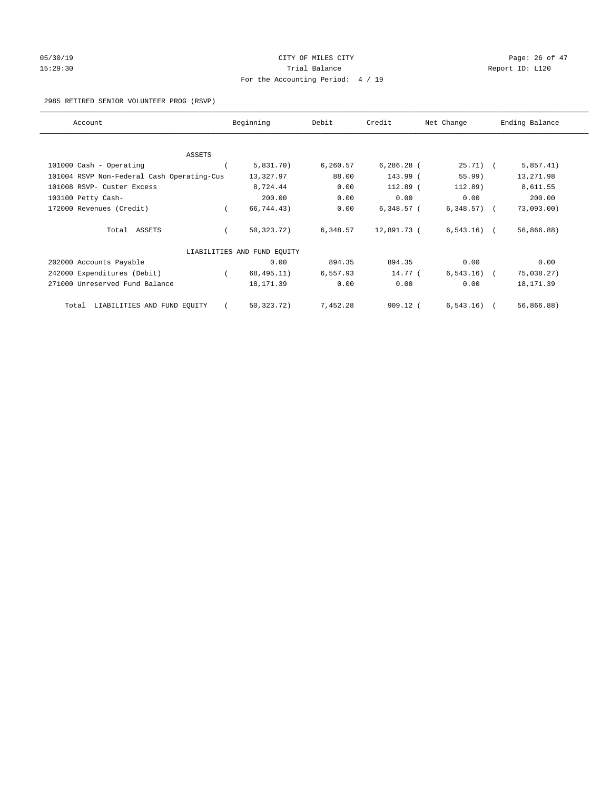# 05/30/19 Page: 26 of 47 15:29:30 Report ID: L120 For the Accounting Period: 4 / 19

## 2985 RETIRED SENIOR VOLUNTEER PROG (RSVP)

| Account                                    | Beginning                   | Debit    | Credit       | Net Change     | Ending Balance |
|--------------------------------------------|-----------------------------|----------|--------------|----------------|----------------|
|                                            |                             |          |              |                |                |
| ASSETS                                     |                             |          |              |                |                |
| 101000 Cash - Operating                    | 5,831.70)                   | 6,260.57 | $6,286.28$ ( | $25.71)$ (     | 5,857.41)      |
| 101004 RSVP Non-Federal Cash Operating-Cus | 13,327.97                   | 88.00    | 143.99 (     | $55.99$ )      | 13,271.98      |
| 101008 RSVP- Custer Excess                 | 8,724.44                    | 0.00     | 112.89 (     | 112.89)        | 8,611.55       |
| 103100 Petty Cash-                         | 200.00                      | 0.00     | 0.00         | 0.00           | 200.00         |
| 172000 Revenues (Credit)                   | 66,744.43)                  | 0.00     | $6,348.57$ ( | $6,348.57$ ) ( | 73,093.00      |
| Total ASSETS                               | 50,323.72)                  | 6,348.57 | 12,891.73 (  | $6,543.16$ (   | 56,866.88)     |
|                                            | LIABILITIES AND FUND EQUITY |          |              |                |                |
| 202000 Accounts Payable                    | 0.00                        | 894.35   | 894.35       | 0.00           | 0.00           |
| 242000 Expenditures (Debit)                | 68,495.11)                  | 6,557.93 | 14.77 (      | 6, 543.16)     | 75,038.27)     |
| 271000 Unreserved Fund Balance             | 18, 171.39                  | 0.00     | 0.00         | 0.00           | 18, 171.39     |
| LIABILITIES AND FUND EQUITY<br>Total       | 50, 323. 72)                | 7,452.28 | $909.12$ (   | 6, 543.16)     | 56,866.88)     |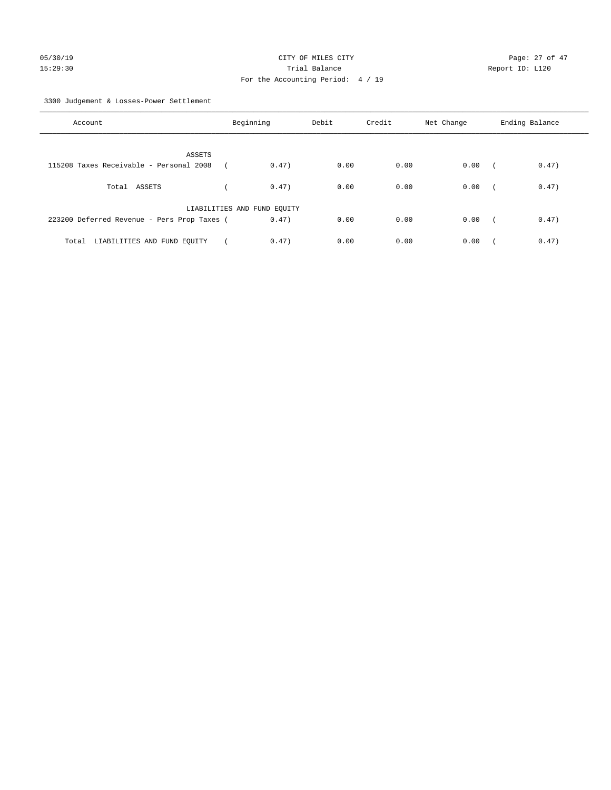3300 Judgement & Losses-Power Settlement

| Account                                     | Beginning                   |       | Debit | Credit | Net Change | Ending Balance |       |
|---------------------------------------------|-----------------------------|-------|-------|--------|------------|----------------|-------|
| ASSETS                                      |                             |       |       |        |            |                |       |
| 115208 Taxes Receivable - Personal 2008     |                             | 0.47) | 0.00  | 0.00   | 0.00       | $\sqrt{2}$     | 0.47) |
| Total ASSETS                                |                             | 0.47) | 0.00  | 0.00   | 0.00       | $\sqrt{2}$     | 0.47) |
|                                             | LIABILITIES AND FUND EQUITY |       |       |        |            |                |       |
| 223200 Deferred Revenue - Pers Prop Taxes ( |                             | 0.47) | 0.00  | 0.00   | 0.00       | $\sim$         | 0.47) |
| LIABILITIES AND FUND EQUITY<br>Total        |                             | 0.47) | 0.00  | 0.00   | 0.00       |                | 0.47) |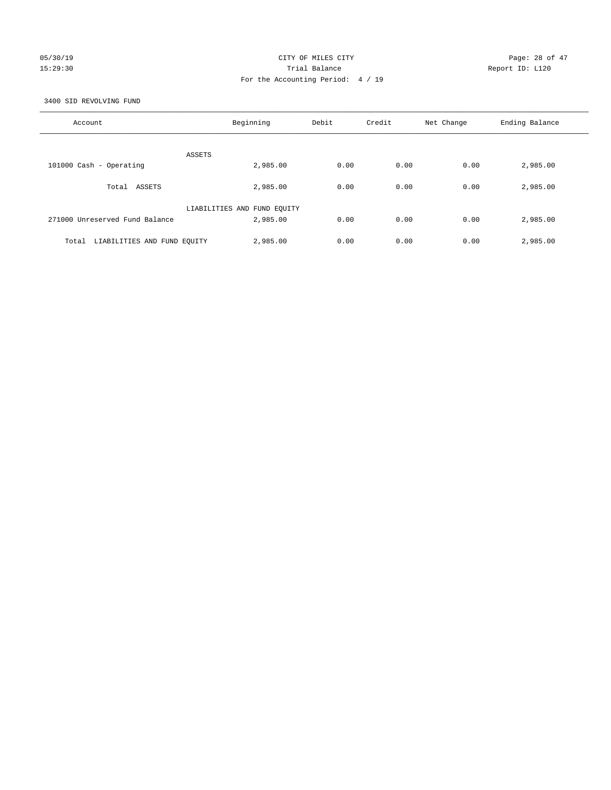## 05/30/19 Page: 28 of 47 15:29:30 Trial Balance Report ID: L120 For the Accounting Period: 4 / 19

3400 SID REVOLVING FUND

| Account                              | Beginning                   | Debit | Credit | Net Change | Ending Balance |
|--------------------------------------|-----------------------------|-------|--------|------------|----------------|
| ASSETS                               |                             |       |        |            |                |
| 101000 Cash - Operating              | 2,985.00                    | 0.00  | 0.00   | 0.00       | 2,985.00       |
| Total ASSETS                         | 2,985.00                    | 0.00  | 0.00   | 0.00       | 2,985.00       |
|                                      | LIABILITIES AND FUND EQUITY |       |        |            |                |
| 271000 Unreserved Fund Balance       | 2,985.00                    | 0.00  | 0.00   | 0.00       | 2,985.00       |
| LIABILITIES AND FUND EQUITY<br>Total | 2,985.00                    | 0.00  | 0.00   | 0.00       | 2,985.00       |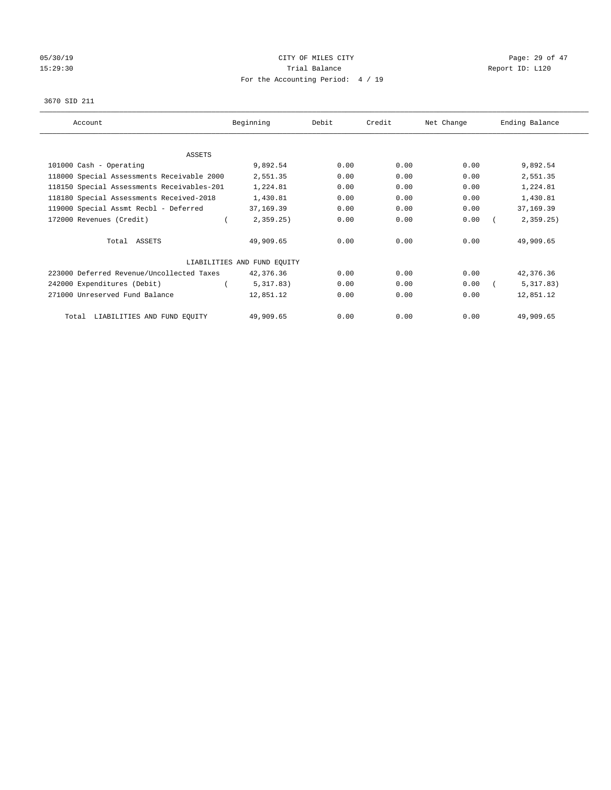# 05/30/19 Page: 29 of 47 15:29:30 Report ID: L120 For the Accounting Period: 4 / 19

#### 3670 SID 211

| Account                                    | Beginning                   | Debit | Credit | Net Change | Ending Balance |
|--------------------------------------------|-----------------------------|-------|--------|------------|----------------|
|                                            |                             |       |        |            |                |
| ASSETS                                     |                             |       |        |            |                |
| 101000 Cash - Operating                    | 9,892.54                    | 0.00  | 0.00   | 0.00       | 9,892.54       |
| 118000 Special Assessments Receivable 2000 | 2,551.35                    | 0.00  | 0.00   | 0.00       | 2,551.35       |
| 118150 Special Assessments Receivables-201 | 1,224.81                    | 0.00  | 0.00   | 0.00       | 1,224.81       |
| 118180 Special Assessments Received-2018   | 1,430.81                    | 0.00  | 0.00   | 0.00       | 1,430.81       |
| 119000 Special Assmt Recbl - Deferred      | 37,169.39                   | 0.00  | 0.00   | 0.00       | 37,169.39      |
| 172000 Revenues (Credit)                   | 2,359.25                    | 0.00  | 0.00   | 0.00       | 2,359.25       |
| Total ASSETS                               | 49,909.65                   | 0.00  | 0.00   | 0.00       | 49,909.65      |
|                                            | LIABILITIES AND FUND EQUITY |       |        |            |                |
| 223000 Deferred Revenue/Uncollected Taxes  | 42,376.36                   | 0.00  | 0.00   | 0.00       | 42,376.36      |
| 242000 Expenditures (Debit)                | 5,317.83)                   | 0.00  | 0.00   | 0.00       | 5,317.83)      |
| 271000 Unreserved Fund Balance             | 12,851.12                   | 0.00  | 0.00   | 0.00       | 12,851.12      |
| LIABILITIES AND FUND EQUITY<br>Total       | 49,909.65                   | 0.00  | 0.00   | 0.00       | 49,909.65      |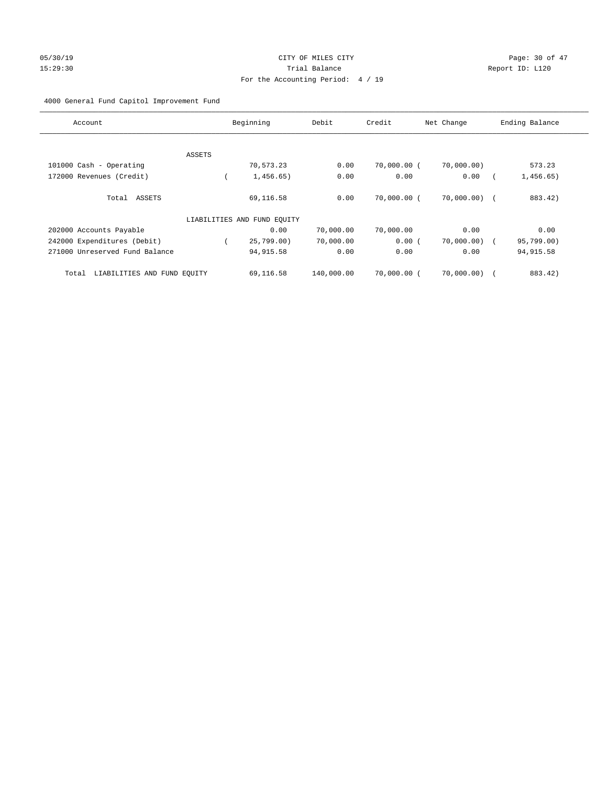# 05/30/19 Page: 30 of 47 15:29:30 Report ID: L120 For the Accounting Period: 4 / 19

## 4000 General Fund Capitol Improvement Fund

| Account                              |        | Beginning                   | Debit      | Credit        | Net Change     | Ending Balance |
|--------------------------------------|--------|-----------------------------|------------|---------------|----------------|----------------|
|                                      |        |                             |            |               |                |                |
|                                      | ASSETS |                             |            |               |                |                |
| 101000 Cash - Operating              |        | 70,573.23                   | 0.00       | $70,000.00$ ( | 70,000.00)     | 573.23         |
| 172000 Revenues (Credit)             |        | 1,456.65)                   | 0.00       | 0.00          | 0.00           | 1,456.65)      |
| Total ASSETS                         |        | 69,116.58                   | 0.00       | 70,000.00 (   | $70,000.00)$ ( | 883.42)        |
|                                      |        | LIABILITIES AND FUND EQUITY |            |               |                |                |
| 202000 Accounts Payable              |        | 0.00                        | 70,000.00  | 70,000.00     | 0.00           | 0.00           |
| 242000 Expenditures (Debit)          |        | 25,799.00)                  | 70,000.00  | 0.00(         | 70,000.00) (   | 95,799.00)     |
| 271000 Unreserved Fund Balance       |        | 94, 915.58                  | 0.00       | 0.00          | 0.00           | 94, 915.58     |
| LIABILITIES AND FUND EQUITY<br>Total |        | 69,116.58                   | 140,000.00 | 70,000.00 (   | 70,000.00)     | 883.42)        |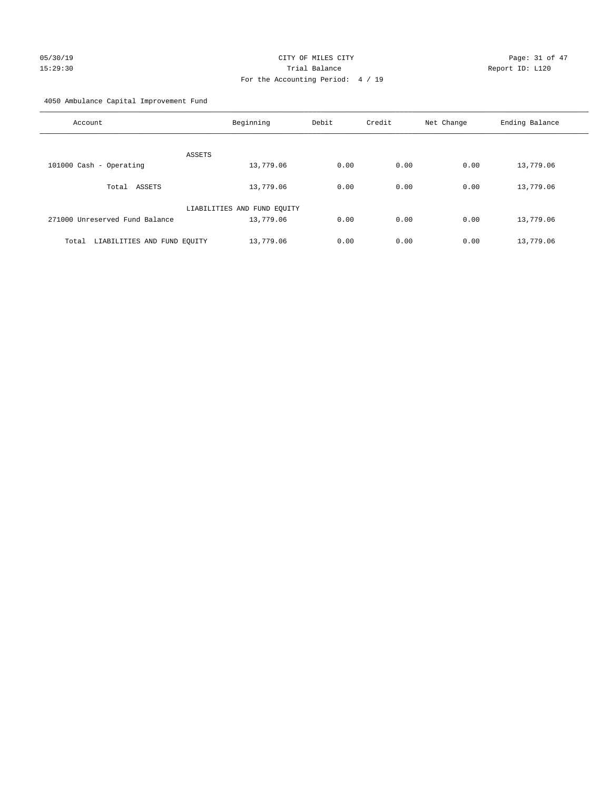# 05/30/19 Page: 31 of 47 15:29:30 Trial Balance Report ID: L120 For the Accounting Period: 4 / 19

4050 Ambulance Capital Improvement Fund

| Account                              | Beginning                   | Debit | Credit | Net Change | Ending Balance |
|--------------------------------------|-----------------------------|-------|--------|------------|----------------|
| ASSETS                               |                             |       |        |            |                |
| 101000 Cash - Operating              | 13,779.06                   | 0.00  | 0.00   | 0.00       | 13,779.06      |
| Total ASSETS                         | 13,779.06                   | 0.00  | 0.00   | 0.00       | 13,779.06      |
|                                      | LIABILITIES AND FUND EQUITY |       |        |            |                |
| 271000 Unreserved Fund Balance       | 13,779.06                   | 0.00  | 0.00   | 0.00       | 13,779.06      |
| LIABILITIES AND FUND EQUITY<br>Total | 13,779.06                   | 0.00  | 0.00   | 0.00       | 13,779.06      |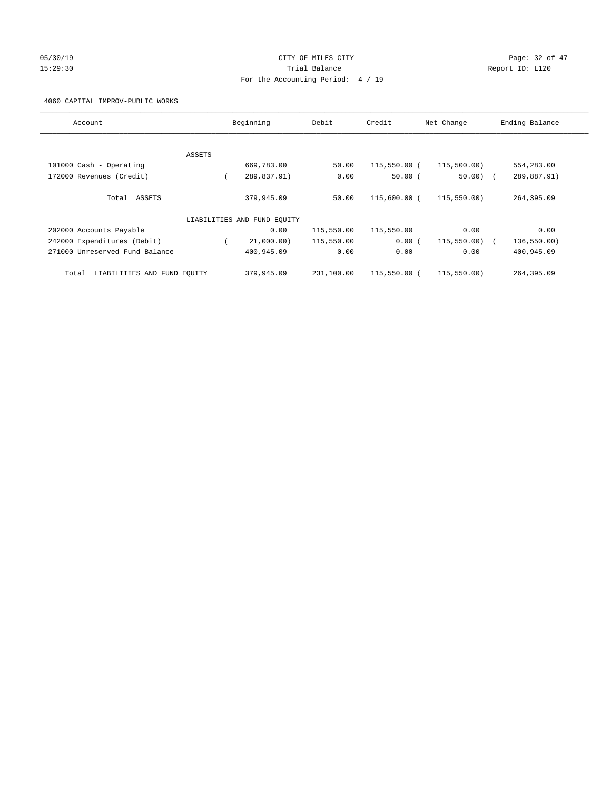# 05/30/19 Page: 32 of 47 15:29:30 Trial Balance Report ID: L120 For the Accounting Period: 4 / 19

4060 CAPITAL IMPROV-PUBLIC WORKS

| Account                              |        | Beginning                   | Debit      | Credit       | Net Change  | Ending Balance |
|--------------------------------------|--------|-----------------------------|------------|--------------|-------------|----------------|
|                                      |        |                             |            |              |             |                |
|                                      | ASSETS |                             |            |              |             |                |
| 101000 Cash - Operating              |        | 669,783.00                  | 50.00      | 115,550.00 ( | 115,500.00) | 554,283.00     |
| 172000 Revenues (Credit)             |        | 289,837.91)                 | 0.00       | 50.00(       | $50.00)$ (  | 289,887.91)    |
|                                      |        |                             |            |              |             |                |
| ASSETS<br>Total                      |        | 379,945.09                  | 50.00      | 115,600.00 ( | 115,550.00) | 264,395.09     |
|                                      |        |                             |            |              |             |                |
|                                      |        | LIABILITIES AND FUND EQUITY |            |              |             |                |
| 202000 Accounts Payable              |        | 0.00                        | 115,550.00 | 115,550.00   | 0.00        | 0.00           |
| 242000 Expenditures (Debit)          |        | 21,000.00)                  | 115,550.00 | 0.00(        | 115,550.00) | 136,550.00)    |
| 271000 Unreserved Fund Balance       |        | 400,945.09                  | 0.00       | 0.00         | 0.00        | 400,945.09     |
|                                      |        |                             |            |              |             |                |
| LIABILITIES AND FUND EQUITY<br>Total |        | 379,945.09                  | 231,100.00 | 115,550.00 ( | 115,550.00) | 264,395.09     |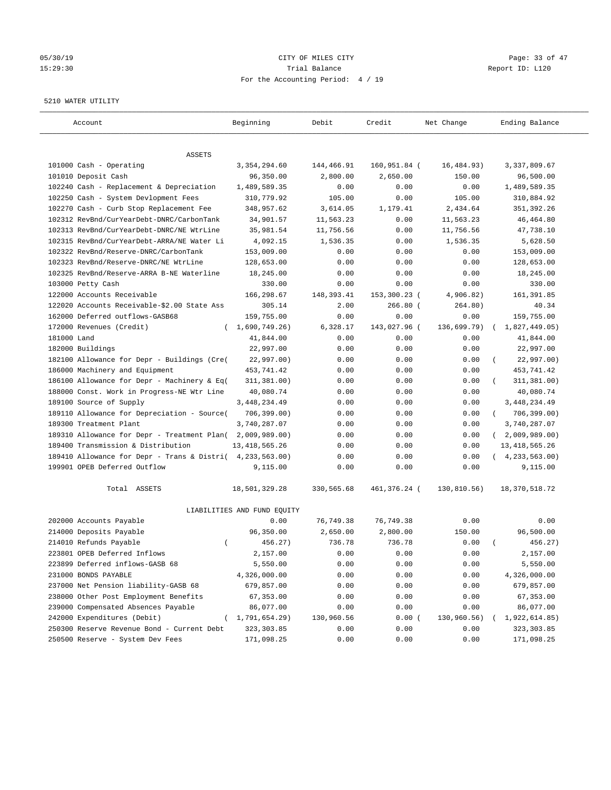## 05/30/19 Page: 33 of 47 15:29:30 Trial Balance Report ID: L120 For the Accounting Period: 4 / 19

#### 5210 WATER UTILITY

| Account                                     | Beginning                   | Debit       | Credit       | Net Change  | Ending Balance             |
|---------------------------------------------|-----------------------------|-------------|--------------|-------------|----------------------------|
| ASSETS                                      |                             |             |              |             |                            |
| 101000 Cash - Operating                     | 3, 354, 294.60              | 144,466.91  | 160,951.84 ( | 16,484.93)  | 3, 337, 809.67             |
| 101010 Deposit Cash                         | 96,350.00                   | 2,800.00    | 2,650.00     | 150.00      | 96,500.00                  |
| 102240 Cash - Replacement & Depreciation    | 1,489,589.35                | 0.00        | 0.00         | 0.00        | 1,489,589.35               |
| 102250 Cash - System Devlopment Fees        | 310,779.92                  | 105.00      | 0.00         | 105.00      | 310,884.92                 |
| 102270 Cash - Curb Stop Replacement Fee     | 348,957.62                  | 3,614.05    | 1,179.41     | 2,434.64    | 351,392.26                 |
| 102312 RevBnd/CurYearDebt-DNRC/CarbonTank   | 34,901.57                   | 11,563.23   | 0.00         | 11,563.23   | 46, 464.80                 |
| 102313 RevBnd/CurYearDebt-DNRC/NE WtrLine   | 35,981.54                   | 11,756.56   | 0.00         | 11,756.56   | 47,738.10                  |
| 102315 RevBnd/CurYearDebt-ARRA/NE Water Li  | 4,092.15                    | 1,536.35    | 0.00         | 1,536.35    | 5,628.50                   |
| 102322 RevBnd/Reserve-DNRC/CarbonTank       | 153,009.00                  | 0.00        | 0.00         | 0.00        | 153,009.00                 |
| 102323 RevBnd/Reserve-DNRC/NE WtrLine       | 128,653.00                  | 0.00        | 0.00         | 0.00        | 128,653.00                 |
| 102325 RevBnd/Reserve-ARRA B-NE Waterline   | 18,245.00                   | 0.00        | 0.00         | 0.00        | 18,245.00                  |
| 103000 Petty Cash                           | 330.00                      | 0.00        | 0.00         | 0.00        | 330.00                     |
| 122000 Accounts Receivable                  | 166,298.67                  | 148, 393.41 | 153,300.23 ( | 4,906.82)   | 161,391.85                 |
| 122020 Accounts Receivable-\$2.00 State Ass | 305.14                      | 2.00        | $266.80$ (   | 264.80)     | 40.34                      |
| 162000 Deferred outflows-GASB68             | 159,755.00                  | 0.00        | 0.00         | 0.00        | 159,755.00                 |
| 172000 Revenues (Credit)                    | (1,690,749.26)              | 6,328.17    | 143,027.96 ( | 136,699.79) | 1,827,449.05)              |
| 181000 Land                                 | 41,844.00                   | 0.00        | 0.00         | 0.00        | 41,844.00                  |
| 182000 Buildings                            | 22,997.00                   | 0.00        | 0.00         | 0.00        | 22,997.00                  |
| 182100 Allowance for Depr - Buildings (Cre( | 22,997.00)                  | 0.00        | 0.00         | 0.00        | 22,997.00)                 |
| 186000 Machinery and Equipment              | 453,741.42                  | 0.00        | 0.00         | 0.00        | 453,741.42                 |
| 186100 Allowance for Depr - Machinery & Eq( | 311, 381.00)                | 0.00        | 0.00         | 0.00        | 311,381.00)                |
| 188000 Const. Work in Progress-NE Wtr Line  | 40,080.74                   | 0.00        | 0.00         | 0.00        | 40,080.74                  |
| 189100 Source of Supply                     | 3, 448, 234.49              | 0.00        | 0.00         | 0.00        | 3,448,234.49               |
| 189110 Allowance for Depreciation - Source( | 706, 399.00)                | 0.00        | 0.00         | 0.00        | 706,399.00)<br>$\left($    |
| 189300 Treatment Plant                      | 3,740,287.07                | 0.00        | 0.00         | 0.00        | 3,740,287.07               |
| 189310 Allowance for Depr - Treatment Plan( | 2,009,989.00)               | 0.00        | 0.00         | 0.00        | 2,009,989.00<br>$\sqrt{2}$ |
| 189400 Transmission & Distribution          | 13, 418, 565.26             | 0.00        | 0.00         | 0.00        | 13, 418, 565.26            |
| 189410 Allowance for Depr - Trans & Distri( | 4,233,563.00)               | 0.00        | 0.00         | 0.00        | (4, 233, 563.00)           |
| 199901 OPEB Deferred Outflow                | 9,115.00                    | 0.00        | 0.00         | 0.00        | 9,115.00                   |
| Total ASSETS                                | 18,501,329.28               | 330,565.68  | 461,376.24 ( | 130,810.56) | 18, 370, 518.72            |
|                                             | LIABILITIES AND FUND EQUITY |             |              |             |                            |
| 202000 Accounts Payable                     | 0.00                        | 76,749.38   | 76,749.38    | 0.00        | 0.00                       |
| 214000 Deposits Payable                     | 96,350.00                   | 2,650.00    | 2,800.00     | 150.00      | 96,500.00                  |
| 214010 Refunds Payable<br>$\left($          | 456.27)                     | 736.78      | 736.78       | 0.00        | 456.27)                    |
| 223801 OPEB Deferred Inflows                | 2,157.00                    | 0.00        | 0.00         | 0.00        | 2,157.00                   |
| 223899 Deferred inflows-GASB 68             | 5,550.00                    | 0.00        | 0.00         | 0.00        | 5,550.00                   |
| 231000 BONDS PAYABLE                        | 4,326,000.00                | 0.00        | 0.00         | 0.00        | 4,326,000.00               |
| 237000 Net Pension liability-GASB 68        | 679,857.00                  | 0.00        | 0.00         | 0.00        | 679,857.00                 |
| 238000 Other Post Employment Benefits       | 67,353.00                   | 0.00        | 0.00         | 0.00        | 67,353.00                  |
| 239000 Compensated Absences Payable         | 86,077.00                   | 0.00        | 0.00         | 0.00        | 86,077.00                  |
| 242000 Expenditures (Debit)                 | (1, 791, 654.29)            | 130,960.56  | 0.00(        | 130,960.56) | 1,922,614.85)              |
| 250300 Reserve Revenue Bond - Current Debt  | 323, 303.85                 | 0.00        | 0.00         | 0.00        | 323, 303.85                |
| 250500 Reserve - System Dev Fees            | 171,098.25                  | 0.00        | 0.00         | 0.00        | 171,098.25                 |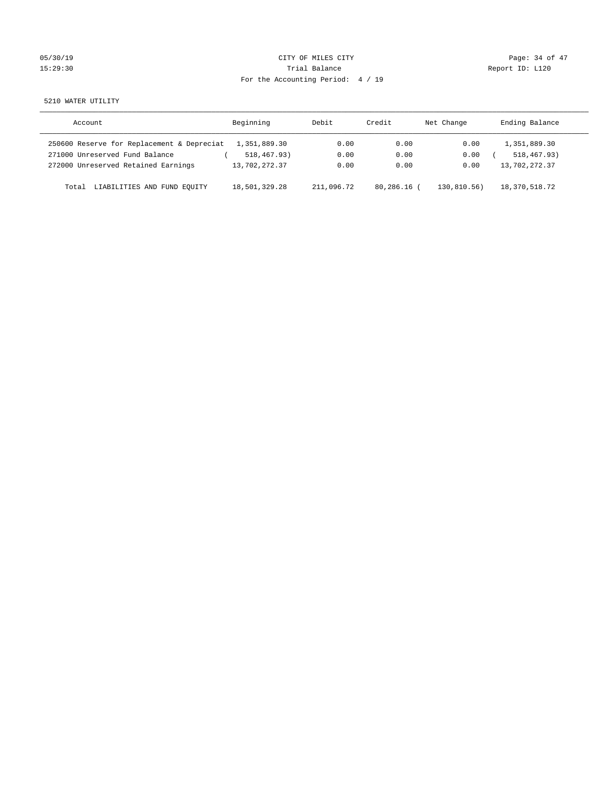| 05/30/19 |  |
|----------|--|
| 15:29:30 |  |

# CITY OF MILES CITY CONTROL CONTROL CONTROL CONTROL CITY 15:29:30 Report ID: L120 For the Accounting Period: 4 / 19

5210 WATER UTILITY

| Account                                    | Beginning     | Debit      | Credit        | Net Change | Ending Balance |
|--------------------------------------------|---------------|------------|---------------|------------|----------------|
| 250600 Reserve for Replacement & Depreciat | 1,351,889.30  | 0.00       | 0.00          | 0.00       | 1,351,889.30   |
| 271000 Unreserved Fund Balance             | 518,467.93)   | 0.00       | 0.00          | 0.00       | 518, 467, 93)  |
| 272000 Unreserved Retained Earnings        | 13,702,272.37 | 0.00       | 0.00          | 0.00       | 13,702,272.37  |
| LIABILITIES AND FUND EOUITY<br>Total       | 18,501,329.28 | 211,096.72 | $80.286.16$ ( | 130.810.56 | 18,370,518.72  |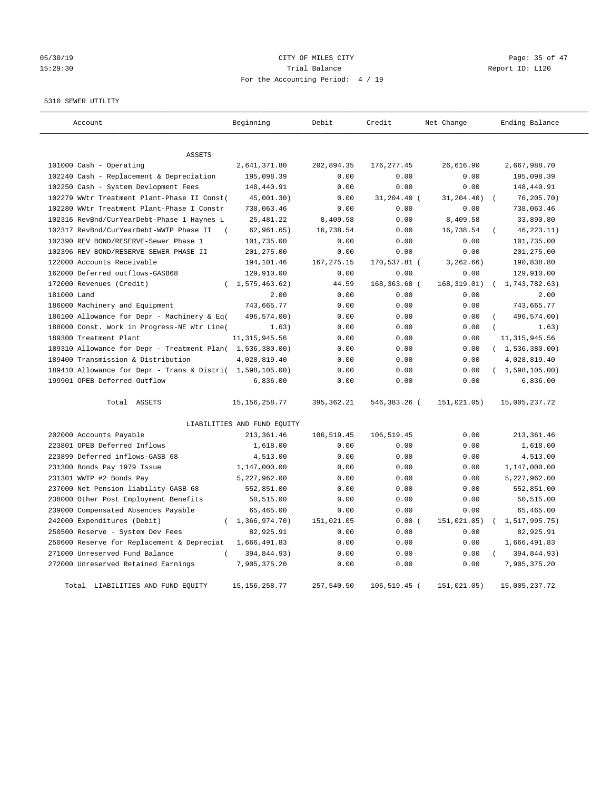# 05/30/19 Page: 35 of 47 15:29:30 Report ID: L120 For the Accounting Period: 4 / 19

5310 SEWER UTILITY

| Account                                                   | Beginning                   | Debit       | Credit       | Net Change   | Ending Balance          |
|-----------------------------------------------------------|-----------------------------|-------------|--------------|--------------|-------------------------|
|                                                           |                             |             |              |              |                         |
| ASSETS                                                    |                             |             |              |              |                         |
| 101000 Cash - Operating                                   | 2,641,371.80                | 202,894.35  | 176, 277.45  | 26,616.90    | 2,667,988.70            |
| 102240 Cash - Replacement & Depreciation                  | 195,098.39                  | 0.00        | 0.00         | 0.00         | 195,098.39              |
| 102250 Cash - System Devlopment Fees                      | 148,440.91                  | 0.00        | 0.00         | 0.00         | 148,440.91              |
| 102279 WWtr Treatment Plant-Phase II Const(               | 45,001.30)                  | 0.00        | 31,204.40 (  | 31,204.40)   | 76, 205.70)             |
| 102280 WWtr Treatment Plant-Phase I Constr                | 738,063.46                  | 0.00        | 0.00         | 0.00         | 738,063.46              |
| 102316 RevBnd/CurYearDebt-Phase 1 Haynes L                | 25, 481.22                  | 8,409.58    | 0.00         | 8,409.58     | 33,890.80               |
| 102317 RevBnd/CurYearDebt-WWTP Phase II                   | 62,961.65)                  | 16,738.54   | 0.00         | 16,738.54    | 46, 223. 11)            |
| 102390 REV BOND/RESERVE-Sewer Phase 1                     | 101,735.00                  | 0.00        | 0.00         | 0.00         | 101,735.00              |
| 102396 REV BOND/RESERVE-SEWER PHASE II                    | 201,275.00                  | 0.00        | 0.00         | 0.00         | 201,275.00              |
| 122000 Accounts Receivable                                | 194,101.46                  | 167, 275.15 | 170,537.81 ( | 3, 262, 66)  | 190,838.80              |
| 162000 Deferred outflows-GASB68                           | 129,910.00                  | 0.00        | 0.00         | 0.00         | 129,910.00              |
| 172000 Revenues (Credit)                                  | (1, 575, 463, 62)           | 44.59       | 168,363.60 ( | 168, 319.01) | 1,743,782.63)           |
| 181000 Land                                               | 2.00                        | 0.00        | 0.00         | 0.00         | 2.00                    |
| 186000 Machinery and Equipment                            | 743,665.77                  | 0.00        | 0.00         | 0.00         | 743,665.77              |
| 186100 Allowance for Depr - Machinery & Eq(               | 496,574.00)                 | 0.00        | 0.00         | 0.00         | 496,574.00)             |
| 188000 Const. Work in Progress-NE Wtr Line(               | 1.63)                       | 0.00        | 0.00         | 0.00         | 1.63)                   |
| 189300 Treatment Plant                                    | 11, 315, 945.56             | 0.00        | 0.00         | 0.00         | 11, 315, 945.56         |
| 189310 Allowance for Depr - Treatment Plan( 1,536,380.00) |                             | 0.00        | 0.00         | 0.00         | (1,536,380.00)          |
| 189400 Transmission & Distribution                        | 4,028,819.40                | 0.00        | 0.00         | 0.00         | 4,028,819.40            |
| 189410 Allowance for Depr - Trans & Distri( 1,598,105.00) |                             | 0.00        | 0.00         | 0.00         | (1, 598, 105.00)        |
| 199901 OPEB Deferred Outflow                              | 6,836.00                    | 0.00        | 0.00         | 0.00         | 6,836.00                |
| Total ASSETS                                              | 15, 156, 258.77             | 395, 362.21 | 546,383.26 ( | 151,021.05)  | 15,005,237.72           |
|                                                           | LIABILITIES AND FUND EQUITY |             |              |              |                         |
| 202000 Accounts Payable                                   | 213, 361.46                 | 106,519.45  | 106,519.45   | 0.00         | 213,361.46              |
| 223801 OPEB Deferred Inflows                              | 1,618.00                    | 0.00        | 0.00         | 0.00         | 1,618.00                |
| 223899 Deferred inflows-GASB 68                           | 4,513.00                    | 0.00        | 0.00         | 0.00         | 4,513.00                |
| 231300 Bonds Pay 1979 Issue                               | 1,147,000.00                | 0.00        | 0.00         | 0.00         | 1,147,000.00            |
| 231301 WWTP #2 Bonds Pay                                  | 5,227,962.00                | 0.00        | 0.00         | 0.00         | 5,227,962.00            |
| 237000 Net Pension liability-GASB 68                      | 552,851.00                  | 0.00        | 0.00         | 0.00         | 552,851.00              |
| 238000 Other Post Employment Benefits                     | 50,515.00                   | 0.00        | 0.00         | 0.00         | 50,515.00               |
| 239000 Compensated Absences Payable                       | 65,465.00                   | 0.00        | 0.00         | 0.00         | 65,465.00               |
| 242000 Expenditures (Debit)<br>$\left($                   | 1,366,974.70)               | 151,021.05  | 0.00(        | 151,021.05)  | 1,517,995.75)           |
| 250500 Reserve - System Dev Fees                          | 82,925.91                   | 0.00        | 0.00         | 0.00         | 82,925.91               |
| 250600 Reserve for Replacement & Depreciat                | 1,666,491.83                | 0.00        | 0.00         | 0.00         | 1,666,491.83            |
| 271000 Unreserved Fund Balance                            | 394,844.93)                 | 0.00        | 0.00         | 0.00         | $\left($<br>394,844.93) |
| 272000 Unreserved Retained Earnings                       | 7,905,375.20                | 0.00        | 0.00         | 0.00         | 7,905,375.20            |
| Total LIABILITIES AND FUND EQUITY                         | 15, 156, 258.77             | 257,540.50  | 106,519.45 ( | 151,021.05)  | 15,005,237.72           |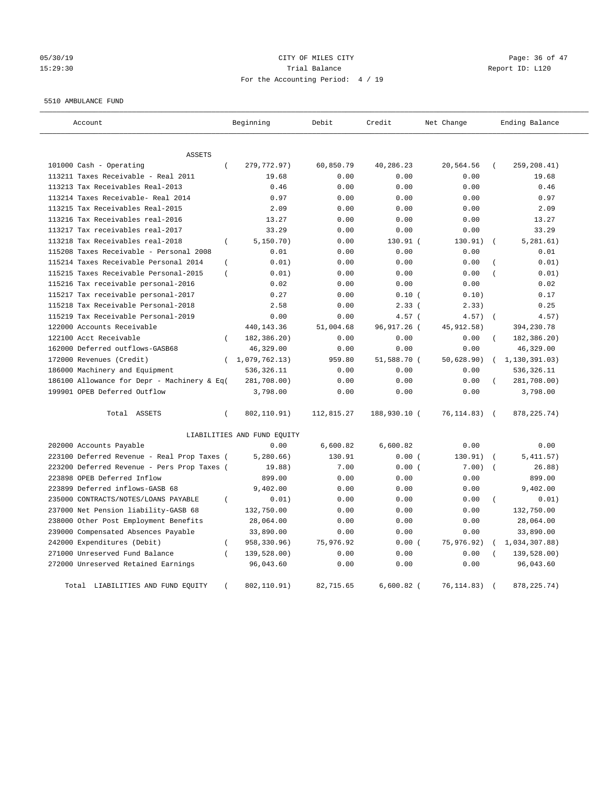## 05/30/19 Page: 36 of 47 15:29:30 Trial Balance Report ID: L120 For the Accounting Period: 4 / 19

#### 5510 AMBULANCE FUND

| Account                                                              | Beginning                   | Debit      | Credit       | Net Change   | Ending Balance              |
|----------------------------------------------------------------------|-----------------------------|------------|--------------|--------------|-----------------------------|
|                                                                      |                             |            |              |              |                             |
| ASSETS                                                               |                             |            |              |              |                             |
| 101000 Cash - Operating<br>$\left($                                  | 279,772.97)                 | 60,850.79  | 40,286.23    | 20,564.56    | 259,208.41)<br>$\left($     |
| 113211 Taxes Receivable - Real 2011                                  | 19.68                       | 0.00       | 0.00         | 0.00         | 19.68                       |
| 113213 Tax Receivables Real-2013                                     | 0.46                        | 0.00       | 0.00         | 0.00         | 0.46                        |
| 113214 Taxes Receivable- Real 2014                                   | 0.97                        | 0.00       | 0.00         | 0.00         | 0.97                        |
| 113215 Tax Receivables Real-2015<br>113216 Tax Receivables real-2016 | 2.09                        | 0.00       | 0.00         | 0.00         | 2.09                        |
|                                                                      | 13.27                       | 0.00       | 0.00         | 0.00         | 13.27                       |
| 113217 Tax receivables real-2017                                     | 33.29                       | 0.00       | 0.00         | 0.00         | 33.29                       |
| 113218 Tax Receivables real-2018<br>$\left($                         | 5, 150.70)                  | 0.00       | $130.91$ (   | 130.91)      | 5, 281.61)                  |
| 115208 Taxes Receivable - Personal 2008                              | 0.01                        | 0.00       | 0.00         | 0.00         | 0.01                        |
| 115214 Taxes Receivable Personal 2014<br>$\overline{(\ }$            | 0.01)                       | 0.00       | 0.00         | 0.00         | 0.01)                       |
| 115215 Taxes Receivable Personal-2015<br>$\overline{(\ }$            | 0.01)                       | 0.00       | 0.00         | 0.00         | 0.01)                       |
| 115216 Tax receivable personal-2016                                  | 0.02                        | 0.00       | 0.00         | 0.00         | 0.02                        |
| 115217 Tax receivable personal-2017                                  | 0.27                        | 0.00       | 0.10(        | 0.10)        | 0.17                        |
| 115218 Tax Receivable Personal-2018                                  | 2.58                        | 0.00       | $2.33$ (     | 2.33)        | 0.25                        |
| 115219 Tax Receivable Personal-2019                                  | 0.00                        | 0.00       | $4.57$ (     | 4.57)        | 4.57)<br>$\sqrt{ }$         |
| 122000 Accounts Receivable                                           | 440,143.36                  | 51,004.68  | 96,917.26 (  | 45, 912. 58) | 394,230.78                  |
| 122100 Acct Receivable<br>$\left($                                   | 182,386.20)                 | 0.00       | 0.00         | 0.00         | 182,386.20)                 |
| 162000 Deferred outflows-GASB68                                      | 46,329.00                   | 0.00       | 0.00         | 0.00         | 46,329.00                   |
| 172000 Revenues (Credit)<br>$\left($                                 | 1,079,762.13)               | 959.80     | 51,588.70 (  | 50,628.90)   | 1,130,391.03)               |
| 186000 Machinery and Equipment                                       | 536, 326.11                 | 0.00       | 0.00         | 0.00         | 536, 326.11                 |
| 186100 Allowance for Depr - Machinery & Eq(                          | 281,708.00)                 | 0.00       | 0.00         | 0.00         | 281,708.00)                 |
| 199901 OPEB Deferred Outflow                                         | 3,798.00                    | 0.00       | 0.00         | 0.00         | 3,798.00                    |
| Total ASSETS<br>$\left($                                             | 802,110.91)                 | 112,815.27 | 188,930.10 ( | 76, 114.83)  | 878, 225. 74)<br>$\sqrt{ }$ |
|                                                                      | LIABILITIES AND FUND EQUITY |            |              |              |                             |
| 202000 Accounts Payable                                              | 0.00                        | 6,600.82   | 6,600.82     | 0.00         | 0.00                        |
| 223100 Deferred Revenue - Real Prop Taxes (                          | 5, 280.66)                  | 130.91     | 0.00(        | 130.91)      | 5,411.57)                   |
| 223200 Deferred Revenue - Pers Prop Taxes (                          | 19.88)                      | 7.00       | 0.00(        | 7.00)        | 26.88)                      |
| 223898 OPEB Deferred Inflow                                          | 899.00                      | 0.00       | 0.00         | 0.00         | 899.00                      |
| 223899 Deferred inflows-GASB 68                                      | 9,402.00                    | 0.00       | 0.00         | 0.00         | 9,402.00                    |
| 235000 CONTRACTS/NOTES/LOANS PAYABLE                                 | 0.01)                       | 0.00       | 0.00         | 0.00         | $\left($<br>0.01)           |
| 237000 Net Pension liability-GASB 68                                 | 132,750.00                  | 0.00       | 0.00         | 0.00         | 132,750.00                  |
| 238000 Other Post Employment Benefits                                | 28,064.00                   | 0.00       | 0.00         | 0.00         | 28,064.00                   |
| 239000 Compensated Absences Payable                                  | 33,890.00                   | 0.00       | 0.00         | 0.00         | 33,890.00                   |
| 242000 Expenditures (Debit)<br>$\overline{(\ }$                      | 958,330.96)                 | 75,976.92  | 0.00(        | 75,976.92)   | 1,034,307.88)               |
| 271000 Unreserved Fund Balance                                       | 139,528.00)                 | 0.00       | 0.00         | 0.00         | 139,528.00)                 |
| 272000 Unreserved Retained Earnings                                  | 96,043.60                   | 0.00       | 0.00         | 0.00         | 96,043.60                   |
| Total LIABILITIES AND FUND EQUITY                                    | 802,110.91)                 | 82,715.65  | $6,600.82$ ( | 76, 114.83)  | 878, 225. 74)<br>$\left($   |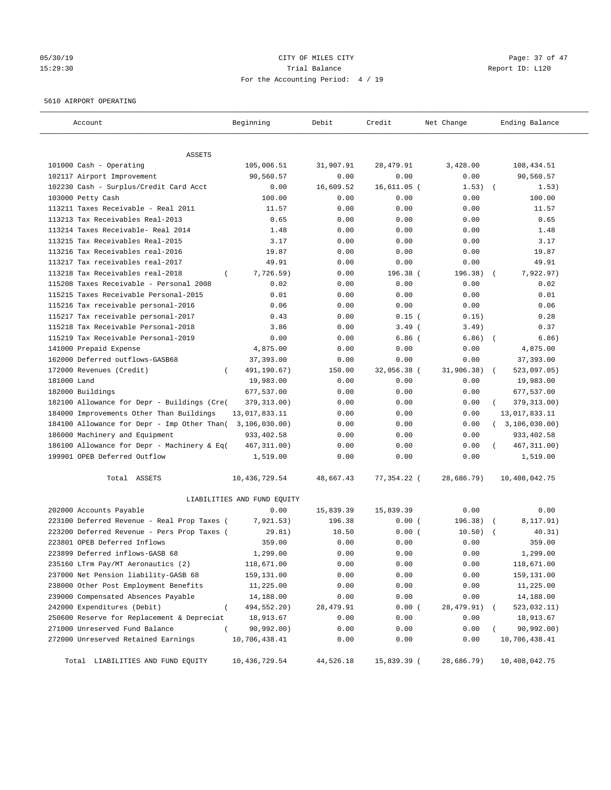# 05/30/19 Page: 37 of 47 15:29:30 Trial Balance Report ID: L120 For the Accounting Period: 4 / 19

#### 5610 AIRPORT OPERATING

| Account                                            | Beginning                   | Debit      | Credit      | Net Change | Ending Balance        |
|----------------------------------------------------|-----------------------------|------------|-------------|------------|-----------------------|
| ASSETS                                             |                             |            |             |            |                       |
| 101000 Cash - Operating                            | 105,006.51                  | 31,907.91  | 28,479.91   | 3,428.00   | 108,434.51            |
| 102117 Airport Improvement                         | 90,560.57                   | 0.00       | 0.00        | 0.00       | 90,560.57             |
| 102230 Cash - Surplus/Credit Card Acct             | 0.00                        | 16,609.52  | 16,611.05 ( | 1.53)      | 1.53)                 |
| 103000 Petty Cash                                  | 100.00                      | 0.00       | 0.00        | 0.00       | 100.00                |
| 113211 Taxes Receivable - Real 2011                | 11.57                       | 0.00       | 0.00        | 0.00       | 11.57                 |
| 113213 Tax Receivables Real-2013                   | 0.65                        | 0.00       | 0.00        | 0.00       | 0.65                  |
| 113214 Taxes Receivable- Real 2014                 | 1.48                        | 0.00       | 0.00        | 0.00       | 1.48                  |
| 113215 Tax Receivables Real-2015                   | 3.17                        | 0.00       | 0.00        | 0.00       | 3.17                  |
| 113216 Tax Receivables real-2016                   | 19.87                       | 0.00       | 0.00        | 0.00       | 19.87                 |
| 113217 Tax receivables real-2017                   | 49.91                       | 0.00       | 0.00        | 0.00       | 49.91                 |
| 113218 Tax Receivables real-2018<br>$\left($       | 7,726.59)                   | 0.00       | 196.38 (    | 196.38)    | 7,922.97)             |
| 115208 Taxes Receivable - Personal 2008            | 0.02                        | 0.00       | 0.00        | 0.00       | 0.02                  |
| 115215 Taxes Receivable Personal-2015              | 0.01                        | 0.00       | 0.00        | 0.00       | 0.01                  |
| 115216 Tax receivable personal-2016                | 0.06                        | 0.00       | 0.00        | 0.00       | 0.06                  |
| 115217 Tax receivable personal-2017                | 0.43                        | 0.00       | $0.15$ (    | 0.15)      | 0.28                  |
| 115218 Tax Receivable Personal-2018                | 3.86                        | 0.00       | $3.49$ (    | 3.49)      | 0.37                  |
| 115219 Tax Receivable Personal-2019                | 0.00                        | 0.00       | $6.86$ (    | 6.86)      | 6.86)<br>$\sqrt{2}$   |
| 141000 Prepaid Expense                             | 4,875.00                    | 0.00       | 0.00        | 0.00       | 4,875.00              |
| 162000 Deferred outflows-GASB68                    | 37,393.00                   | 0.00       | 0.00        | 0.00       | 37,393.00             |
| 172000 Revenues (Credit)<br>$\left($               | 491,190.67)                 | 150.00     | 32,056.38 ( | 31,906.38) | 523,097.05)           |
| 181000 Land                                        | 19,983.00                   | 0.00       | 0.00        | 0.00       | 19,983.00             |
| 182000 Buildings                                   | 677,537.00                  | 0.00       | 0.00        | 0.00       | 677,537.00            |
| 182100 Allowance for Depr - Buildings (Cre(        | 379, 313.00)                | 0.00       | 0.00        | 0.00       | 379, 313.00)          |
| 184000 Improvements Other Than Buildings           | 13,017,833.11               | 0.00       | 0.00        | 0.00       | 13,017,833.11         |
| 184100 Allowance for Depr - Imp Other Than(        | 3,106,030.00)               | 0.00       | 0.00        | 0.00       | (3, 106, 030.00)      |
| 186000 Machinery and Equipment                     | 933,402.58                  | 0.00       | 0.00        | 0.00       | 933,402.58            |
| 186100 Allowance for Depr - Machinery & Eq(        | 467, 311.00)                | 0.00       | 0.00        | 0.00       | 467, 311.00)          |
| 199901 OPEB Deferred Outflow                       | 1,519.00                    | 0.00       | 0.00        | 0.00       | 1,519.00              |
| Total ASSETS                                       | 10, 436, 729.54             | 48,667.43  | 77,354.22 ( | 28,686.79) | 10,408,042.75         |
|                                                    | LIABILITIES AND FUND EQUITY |            |             |            |                       |
| 202000 Accounts Payable                            | 0.00                        | 15,839.39  | 15,839.39   | 0.00       | 0.00                  |
| 223100 Deferred Revenue - Real Prop Taxes (        | 7,921.53)                   | 196.38     | 0.00(       | 196.38)    | 8,117.91)<br>$\left($ |
| 223200 Deferred Revenue - Pers Prop Taxes (        | 29.81)                      | 10.50      | 0.00(       | 10.50)     | 40.31)                |
| 223801 OPEB Deferred Inflows                       | 359.00                      | 0.00       | 0.00        | 0.00       | 359.00                |
| 223899 Deferred inflows-GASB 68                    | 1,299.00                    | 0.00       | 0.00        | 0.00       | 1,299.00              |
| 235160 LTrm Pay/MT Aeronautics (2)                 | 118,671.00                  | 0.00       | 0.00        | 0.00       | 118,671.00            |
| 237000 Net Pension liability-GASB 68               | 159,131.00                  | 0.00       | 0.00        | 0.00       | 159,131.00            |
| 238000 Other Post Employment Benefits              | 11,225.00                   | 0.00       | 0.00        | 0.00       | 11,225.00             |
| 239000 Compensated Absences Payable                | 14,188.00                   | 0.00       | 0.00        | 0.00       | 14,188.00             |
| 242000 Expenditures (Debit)<br>$\left($            | 494,552.20)                 | 28, 479.91 | 0.00(       | 28,479.91) | 523,032.11)           |
| 250600 Reserve for Replacement & Depreciat         | 18,913.67                   | 0.00       | 0.00        | 0.00       | 18,913.67             |
| 271000 Unreserved Fund Balance<br>$\overline{(\ }$ | 90,992.00)                  | 0.00       | 0.00        | 0.00       | 90,992.00)            |
| 272000 Unreserved Retained Earnings                | 10,706,438.41               | 0.00       | 0.00        | 0.00       | 10,706,438.41         |
| Total LIABILITIES AND FUND EQUITY                  | 10, 436, 729.54             | 44,526.18  | 15,839.39 ( | 28,686.79) | 10,408,042.75         |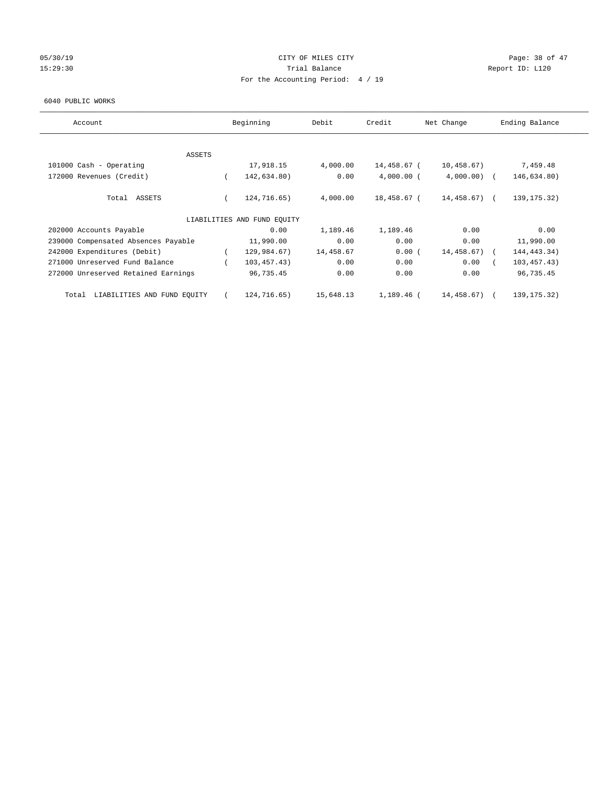## 05/30/19 Page: 38 of 47 15:29:30 Report ID: L120 For the Accounting Period: 4 / 19

#### 6040 PUBLIC WORKS

| Account                              |          | Beginning                   | Debit     | Credit       | Net Change    | Ending Balance |
|--------------------------------------|----------|-----------------------------|-----------|--------------|---------------|----------------|
|                                      |          |                             |           |              |               |                |
| ASSETS<br>101000 Cash - Operating    |          | 17,918.15                   | 4,000.00  | 14,458.67 (  | 10,458.67)    | 7,459.48       |
| 172000 Revenues (Credit)             |          | 142,634.80)                 | 0.00      | $4,000.00$ ( | $4,000.00)$ ( | 146,634.80)    |
|                                      |          |                             |           |              |               |                |
| Total ASSETS                         | $\left($ | 124,716.65)                 | 4,000.00  | 18,458.67 (  | $14,458.67$ ( | 139, 175. 32)  |
|                                      |          | LIABILITIES AND FUND EQUITY |           |              |               |                |
| 202000 Accounts Payable              |          | 0.00                        | 1,189.46  | 1,189.46     | 0.00          | 0.00           |
| 239000 Compensated Absences Payable  |          | 11,990.00                   | 0.00      | 0.00         | 0.00          | 11,990.00      |
| 242000 Expenditures (Debit)          |          | 129,984.67)                 | 14,458.67 | 0.00(        | 14,458.67)    | 144, 443. 34)  |
| 271000 Unreserved Fund Balance       |          | 103,457.43)                 | 0.00      | 0.00         | 0.00          | 103, 457.43)   |
| 272000 Unreserved Retained Earnings  |          | 96,735.45                   | 0.00      | 0.00         | 0.00          | 96,735.45      |
| LIABILITIES AND FUND EQUITY<br>Total |          | 124,716.65)                 | 15,648.13 | 1,189.46 (   | 14,458.67) (  | 139, 175. 32)  |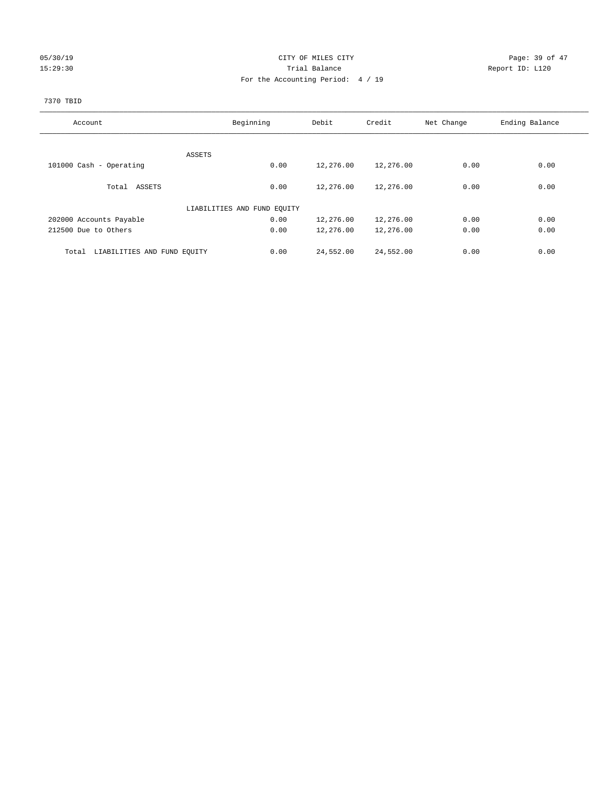## 05/30/19 Page: 39 of 47 15:29:30 Report ID: L120 For the Accounting Period: 4 / 19

## 7370 TBID

| Account                              | Beginning                   | Debit             | Credit    | Net Change | Ending Balance |
|--------------------------------------|-----------------------------|-------------------|-----------|------------|----------------|
|                                      |                             |                   |           |            |                |
|                                      | ASSETS                      |                   |           |            |                |
| 101000 Cash - Operating              |                             | 0.00<br>12,276.00 | 12,276.00 | 0.00       | 0.00           |
| Total ASSETS                         |                             | 0.00<br>12,276.00 | 12,276.00 | 0.00       | 0.00           |
|                                      |                             |                   |           |            |                |
|                                      | LIABILITIES AND FUND EQUITY |                   |           |            |                |
| 202000 Accounts Payable              |                             | 0.00<br>12,276.00 | 12,276.00 | 0.00       | 0.00           |
| 212500 Due to Others                 |                             | 0.00<br>12,276.00 | 12,276.00 | 0.00       | 0.00           |
|                                      |                             |                   |           |            |                |
| LIABILITIES AND FUND EQUITY<br>Total |                             | 24,552.00<br>0.00 | 24,552.00 | 0.00       | 0.00           |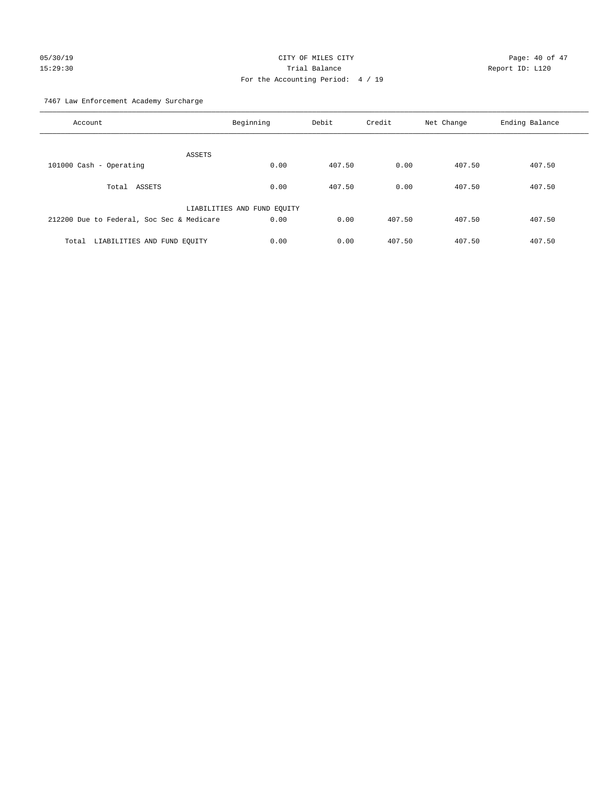# 05/30/19 Page: 40 of 47 15:29:30 Trial Balance Report ID: L120 For the Accounting Period: 4 / 19

7467 Law Enforcement Academy Surcharge

| Account                                   | Beginning                   | Debit  | Credit | Net Change | Ending Balance |
|-------------------------------------------|-----------------------------|--------|--------|------------|----------------|
| ASSETS                                    |                             |        |        |            |                |
| 101000 Cash - Operating                   | 0.00                        | 407.50 | 0.00   | 407.50     | 407.50         |
| Total ASSETS                              | 0.00                        | 407.50 | 0.00   | 407.50     | 407.50         |
|                                           | LIABILITIES AND FUND EQUITY |        |        |            |                |
| 212200 Due to Federal, Soc Sec & Medicare | 0.00                        | 0.00   | 407.50 | 407.50     | 407.50         |
| LIABILITIES AND FUND EQUITY<br>Total      | 0.00                        | 0.00   | 407.50 | 407.50     | 407.50         |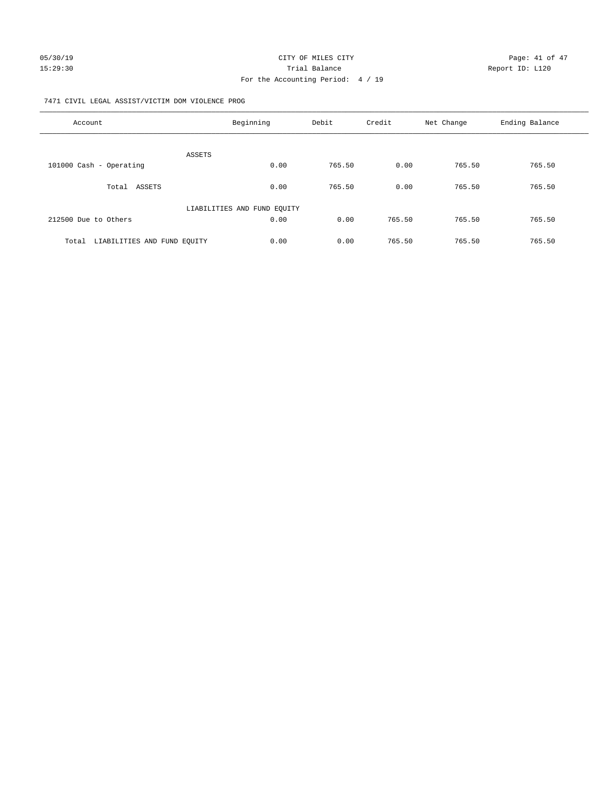#### 7471 CIVIL LEGAL ASSIST/VICTIM DOM VIOLENCE PROG

| Account                              | Beginning                   | Debit  | Credit | Net Change | Ending Balance |
|--------------------------------------|-----------------------------|--------|--------|------------|----------------|
| ASSETS                               |                             |        |        |            |                |
| 101000 Cash - Operating              | 0.00                        | 765.50 | 0.00   | 765.50     | 765.50         |
| Total ASSETS                         | 0.00                        | 765.50 | 0.00   | 765.50     | 765.50         |
|                                      | LIABILITIES AND FUND EQUITY |        |        |            |                |
| 212500 Due to Others                 | 0.00                        | 0.00   | 765.50 | 765.50     | 765.50         |
| LIABILITIES AND FUND EOUITY<br>Total | 0.00                        | 0.00   | 765.50 | 765.50     | 765.50         |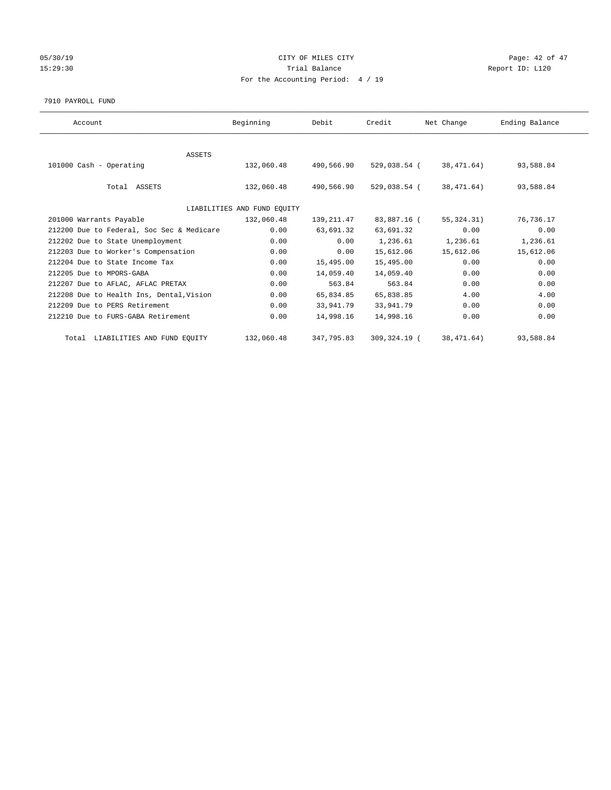## 05/30/19 Page: 42 of 47 15:29:30 Report ID: L120 For the Accounting Period: 4 / 19

7910 PAYROLL FUND

| Account                                   | Beginning                   | Debit      | Credit       | Net Change   | Ending Balance |
|-------------------------------------------|-----------------------------|------------|--------------|--------------|----------------|
|                                           |                             |            |              |              |                |
| ASSETS                                    |                             |            |              |              |                |
| 101000 Cash - Operating                   | 132,060.48                  | 490,566.90 | 529,038.54 ( | 38,471.64)   | 93,588.84      |
|                                           |                             |            |              |              |                |
| Total ASSETS                              | 132,060.48                  | 490,566.90 | 529,038.54 ( | 38,471.64)   | 93,588.84      |
|                                           |                             |            |              |              |                |
|                                           | LIABILITIES AND FUND EQUITY |            |              |              |                |
| 201000 Warrants Payable                   | 132,060.48                  | 139,211.47 | 83,887.16 (  | 55, 324. 31) | 76,736.17      |
| 212200 Due to Federal, Soc Sec & Medicare | 0.00                        | 63,691.32  | 63,691.32    | 0.00         | 0.00           |
| 212202 Due to State Unemployment          | 0.00                        | 0.00       | 1,236.61     | 1,236.61     | 1,236.61       |
| 212203 Due to Worker's Compensation       | 0.00                        | 0.00       | 15,612.06    | 15,612.06    | 15,612.06      |
| 212204 Due to State Income Tax            | 0.00                        | 15,495.00  | 15,495.00    | 0.00         | 0.00           |
| 212205 Due to MPORS-GABA                  | 0.00                        | 14,059.40  | 14,059.40    | 0.00         | 0.00           |
| 212207 Due to AFLAC, AFLAC PRETAX         | 0.00                        | 563.84     | 563.84       | 0.00         | 0.00           |
| 212208 Due to Health Ins, Dental, Vision  | 0.00                        | 65,834.85  | 65,838.85    | 4.00         | 4.00           |
| 212209 Due to PERS Retirement             | 0.00                        | 33,941.79  | 33,941.79    | 0.00         | 0.00           |
| 212210 Due to FURS-GABA Retirement        | 0.00                        | 14,998.16  | 14,998.16    | 0.00         | 0.00           |
| Total LIABILITIES AND FUND EQUITY         | 132,060.48                  | 347,795.83 | 309,324.19 ( | 38, 471.64)  | 93,588.84      |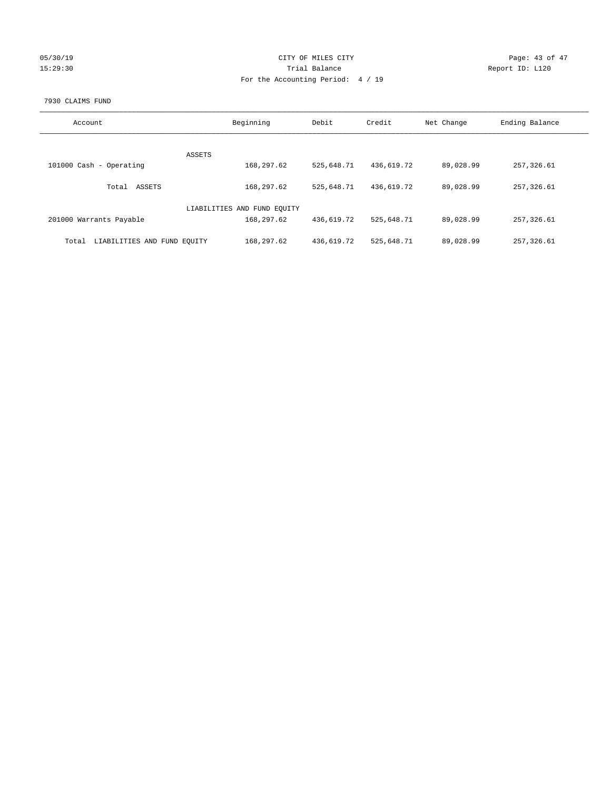| 05/30/19 |  |
|----------|--|
| 15:29:30 |  |

## CITY OF MILES CITY Page: 43 of 47<br>Trial Balance Report ID: L120 15:29:30 Report ID: L120 For the Accounting Period: 4 / 19

#### 7930 CLAIMS FUND

| Account                              | Beginning                   | Debit      | Credit     | Net Change | Ending Balance |
|--------------------------------------|-----------------------------|------------|------------|------------|----------------|
|                                      |                             |            |            |            |                |
|                                      | ASSETS                      |            |            |            |                |
| 101000 Cash - Operating              | 168,297.62                  | 525,648.71 | 436,619.72 | 89,028.99  | 257,326.61     |
| ASSETS<br>Total                      | 168,297.62                  | 525,648.71 | 436,619.72 | 89,028.99  | 257,326.61     |
|                                      | LIABILITIES AND FUND EQUITY |            |            |            |                |
| 201000 Warrants Payable              | 168,297.62                  | 436,619.72 | 525,648.71 | 89,028.99  | 257,326.61     |
| LIABILITIES AND FUND EQUITY<br>Total | 168,297.62                  | 436,619.72 | 525,648.71 | 89,028.99  | 257,326.61     |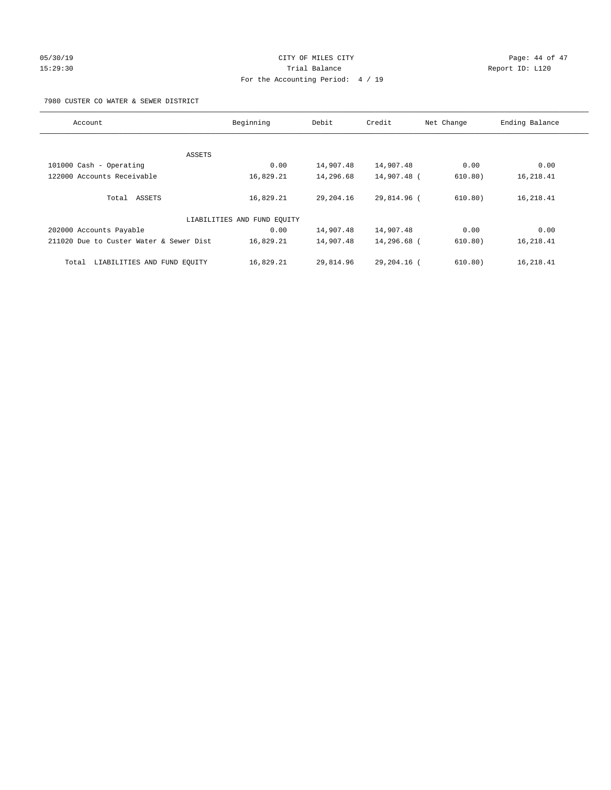# 05/30/19 Page: 44 of 47 15:29:30 Trial Balance Report ID: L120 For the Accounting Period: 4 / 19

7980 CUSTER CO WATER & SEWER DISTRICT

| Account                                 | Beginning                   | Debit     | Credit        | Net Change | Ending Balance |
|-----------------------------------------|-----------------------------|-----------|---------------|------------|----------------|
|                                         |                             |           |               |            |                |
| ASSETS                                  |                             |           |               |            |                |
| 101000 Cash - Operating                 | 0.00                        | 14,907.48 | 14,907.48     | 0.00       | 0.00           |
| 122000 Accounts Receivable              | 16,829.21                   | 14,296.68 | 14,907.48 (   | 610.80)    | 16,218.41      |
| Total ASSETS                            | 16,829.21                   | 29,204.16 | 29,814.96 (   | 610.80)    | 16,218.41      |
|                                         | LIABILITIES AND FUND EQUITY |           |               |            |                |
| 202000 Accounts Payable                 | 0.00                        | 14,907.48 | 14,907.48     | 0.00       | 0.00           |
| 211020 Due to Custer Water & Sewer Dist | 16,829.21                   | 14,907.48 | 14,296.68 (   | 610.80)    | 16,218.41      |
| LIABILITIES AND FUND EOUITY<br>Total    | 16,829.21                   | 29,814.96 | $29.204.16$ ( | 610.80)    | 16,218.41      |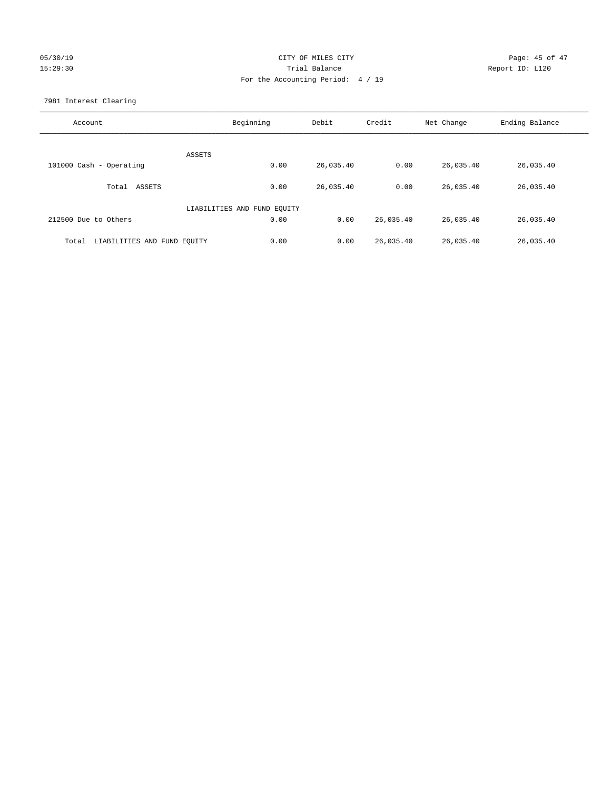## 05/30/19 Page: 45 of 47 15:29:30 Trial Balance Report ID: L120 For the Accounting Period: 4 / 19

7981 Interest Clearing

| Account                              | Beginning                   | Debit     | Credit    | Net Change | Ending Balance |
|--------------------------------------|-----------------------------|-----------|-----------|------------|----------------|
|                                      | <b>ASSETS</b>               |           |           |            |                |
| 101000 Cash - Operating              | 0.00                        | 26,035.40 | 0.00      | 26,035.40  | 26,035.40      |
| ASSETS<br>Total                      | 0.00                        | 26,035.40 | 0.00      | 26,035.40  | 26,035.40      |
|                                      | LIABILITIES AND FUND EQUITY |           |           |            |                |
| 212500 Due to Others                 | 0.00                        | 0.00      | 26,035.40 | 26,035.40  | 26,035.40      |
| LIABILITIES AND FUND EQUITY<br>Total | 0.00                        | 0.00      | 26,035.40 | 26,035.40  | 26,035.40      |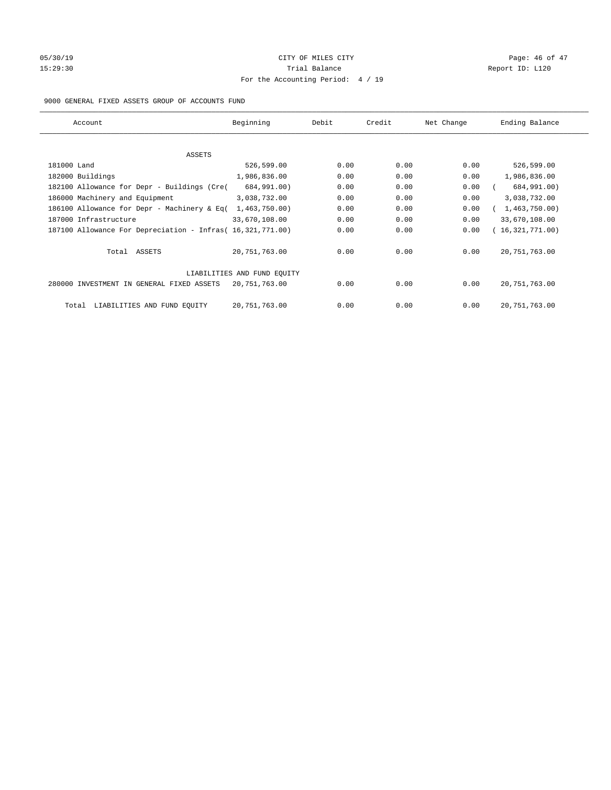# 05/30/19 Page: 46 of 47 15:29:30 Report ID: L120 For the Accounting Period: 4 / 19

## 9000 GENERAL FIXED ASSETS GROUP OF ACCOUNTS FUND

| Account                                                    | Beginning                   | Debit | Credit | Net Change | Ending Balance  |
|------------------------------------------------------------|-----------------------------|-------|--------|------------|-----------------|
| ASSETS                                                     |                             |       |        |            |                 |
| 181000 Land                                                | 526,599.00                  | 0.00  | 0.00   | 0.00       | 526,599.00      |
| 182000 Buildings                                           | 1,986,836.00                | 0.00  | 0.00   | 0.00       | 1,986,836.00    |
| 182100 Allowance for Depr - Buildings (Cre(                | 684,991.00)                 | 0.00  | 0.00   | 0.00       | 684,991.00)     |
| 186000 Machinery and Equipment                             | 3,038,732.00                | 0.00  | 0.00   | 0.00       | 3,038,732.00    |
| 186100 Allowance for Depr - Machinery & Eq(                | 1,463,750.00)               | 0.00  | 0.00   | 0.00       | 1,463,750.00)   |
| 187000 Infrastructure                                      | 33,670,108.00               | 0.00  | 0.00   | 0.00       | 33,670,108.00   |
| 187100 Allowance For Depreciation - Infras( 16,321,771.00) |                             | 0.00  | 0.00   | 0.00       | 16,321,771.00)  |
| Total ASSETS                                               | 20,751,763.00               | 0.00  | 0.00   | 0.00       | 20, 751, 763.00 |
|                                                            | LIABILITIES AND FUND EQUITY |       |        |            |                 |
| 280000 INVESTMENT IN GENERAL FIXED ASSETS                  | 20,751,763.00               | 0.00  | 0.00   | 0.00       | 20, 751, 763.00 |
| LIABILITIES AND FUND EQUITY<br>Total                       | 20,751,763.00               | 0.00  | 0.00   | 0.00       | 20, 751, 763.00 |